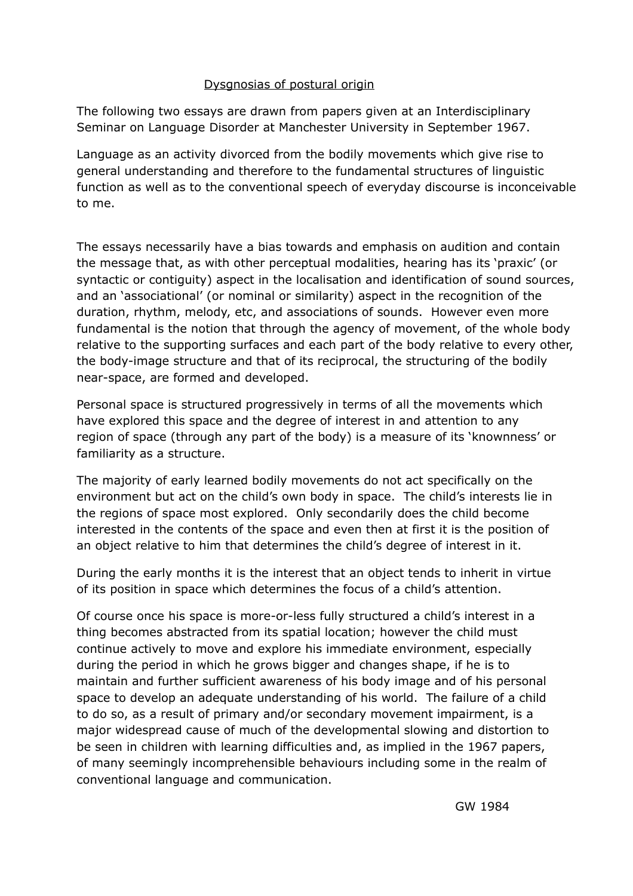# Dysgnosias of postural origin

The following two essays are drawn from papers given at an Interdisciplinary Seminar on Language Disorder at Manchester University in September 1967.

Language as an activity divorced from the bodily movements which give rise to general understanding and therefore to the fundamental structures of linguistic function as well as to the conventional speech of everyday discourse is inconceivable to me.

The essays necessarily have a bias towards and emphasis on audition and contain the message that, as with other perceptual modalities, hearing has its 'praxic' (or syntactic or contiguity) aspect in the localisation and identification of sound sources, and an 'associational' (or nominal or similarity) aspect in the recognition of the duration, rhythm, melody, etc, and associations of sounds. However even more fundamental is the notion that through the agency of movement, of the whole body relative to the supporting surfaces and each part of the body relative to every other, the body-image structure and that of its reciprocal, the structuring of the bodily near-space, are formed and developed.

Personal space is structured progressively in terms of all the movements which have explored this space and the degree of interest in and attention to any region of space (through any part of the body) is a measure of its 'knownness' or familiarity as a structure.

The majority of early learned bodily movements do not act specifically on the environment but act on the child's own body in space. The child's interests lie in the regions of space most explored. Only secondarily does the child become interested in the contents of the space and even then at first it is the position of an object relative to him that determines the child's degree of interest in it.

During the early months it is the interest that an object tends to inherit in virtue of its position in space which determines the focus of a child's attention.

Of course once his space is more-or-less fully structured a child's interest in a thing becomes abstracted from its spatial location; however the child must continue actively to move and explore his immediate environment, especially during the period in which he grows bigger and changes shape, if he is to maintain and further sufficient awareness of his body image and of his personal space to develop an adequate understanding of his world. The failure of a child to do so, as a result of primary and/or secondary movement impairment, is a major widespread cause of much of the developmental slowing and distortion to be seen in children with learning difficulties and, as implied in the 1967 papers, of many seemingly incomprehensible behaviours including some in the realm of conventional language and communication.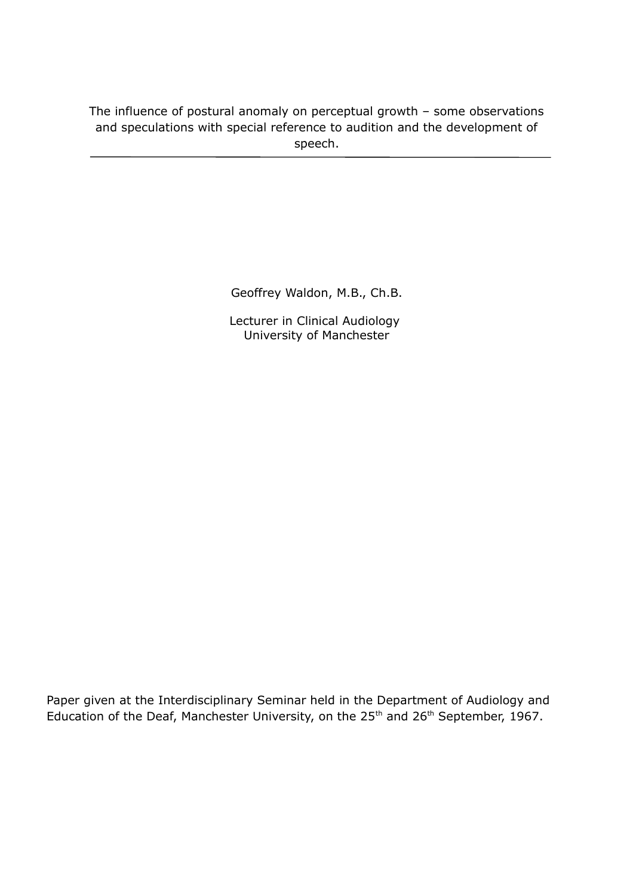The influence of postural anomaly on perceptual growth – some observations and speculations with special reference to audition and the development of speech.

Geoffrey Waldon, M.B., Ch.B.

Lecturer in Clinical Audiology University of Manchester

Paper given at the Interdisciplinary Seminar held in the Department of Audiology and Education of the Deaf, Manchester University, on the 25<sup>th</sup> and 26<sup>th</sup> September, 1967.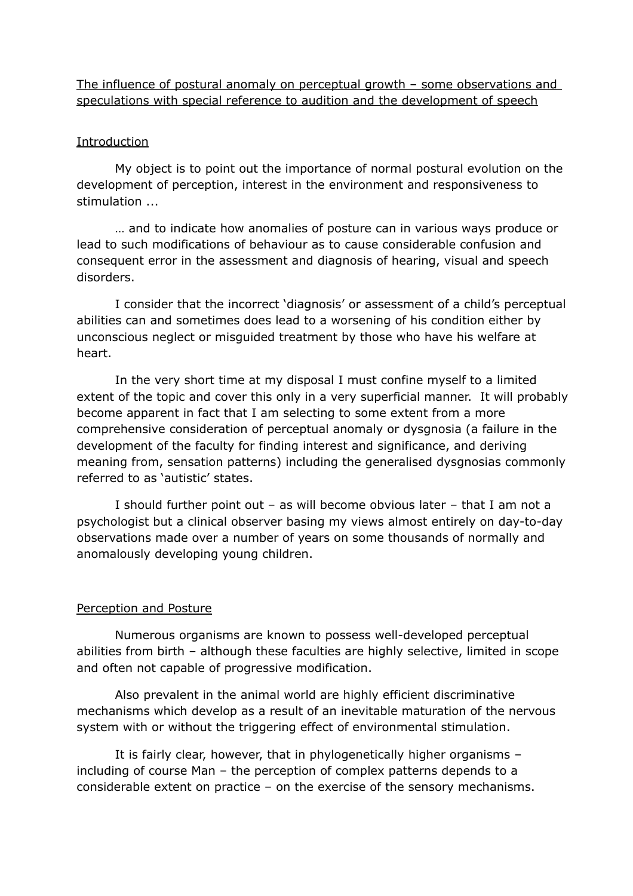The influence of postural anomaly on perceptual growth – some observations and speculations with special reference to audition and the development of speech

### Introduction

My object is to point out the importance of normal postural evolution on the development of perception, interest in the environment and responsiveness to stimulation ...

… and to indicate how anomalies of posture can in various ways produce or lead to such modifications of behaviour as to cause considerable confusion and consequent error in the assessment and diagnosis of hearing, visual and speech disorders.

I consider that the incorrect 'diagnosis' or assessment of a child's perceptual abilities can and sometimes does lead to a worsening of his condition either by unconscious neglect or misguided treatment by those who have his welfare at heart.

In the very short time at my disposal I must confine myself to a limited extent of the topic and cover this only in a very superficial manner. It will probably become apparent in fact that I am selecting to some extent from a more comprehensive consideration of perceptual anomaly or dysgnosia (a failure in the development of the faculty for finding interest and significance, and deriving meaning from, sensation patterns) including the generalised dysgnosias commonly referred to as 'autistic' states.

I should further point out – as will become obvious later – that I am not a psychologist but a clinical observer basing my views almost entirely on day-to-day observations made over a number of years on some thousands of normally and anomalously developing young children.

## Perception and Posture

Numerous organisms are known to possess well-developed perceptual abilities from birth – although these faculties are highly selective, limited in scope and often not capable of progressive modification.

Also prevalent in the animal world are highly efficient discriminative mechanisms which develop as a result of an inevitable maturation of the nervous system with or without the triggering effect of environmental stimulation.

It is fairly clear, however, that in phylogenetically higher organisms – including of course Man – the perception of complex patterns depends to a considerable extent on practice – on the exercise of the sensory mechanisms.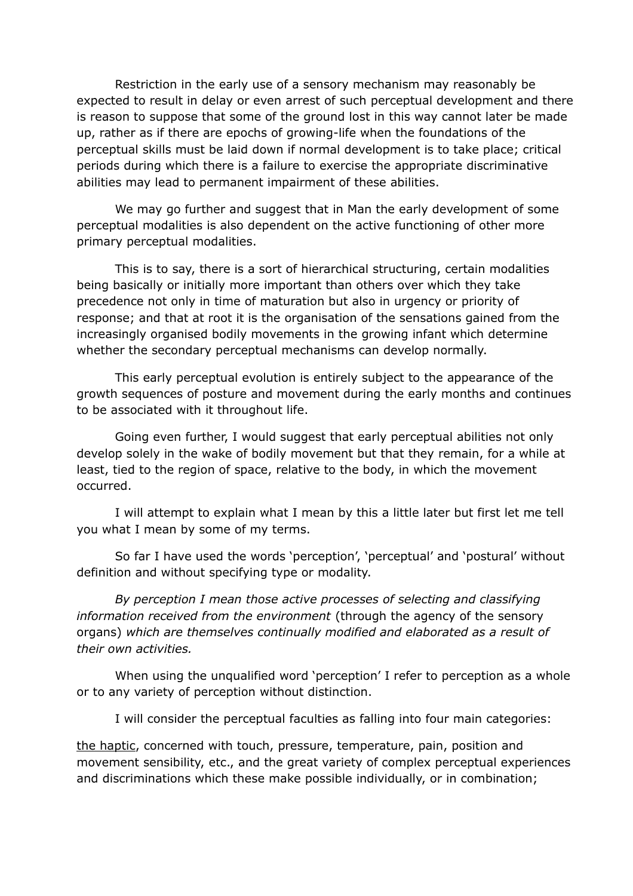Restriction in the early use of a sensory mechanism may reasonably be expected to result in delay or even arrest of such perceptual development and there is reason to suppose that some of the ground lost in this way cannot later be made up, rather as if there are epochs of growing-life when the foundations of the perceptual skills must be laid down if normal development is to take place; critical periods during which there is a failure to exercise the appropriate discriminative abilities may lead to permanent impairment of these abilities.

We may go further and suggest that in Man the early development of some perceptual modalities is also dependent on the active functioning of other more primary perceptual modalities.

This is to say, there is a sort of hierarchical structuring, certain modalities being basically or initially more important than others over which they take precedence not only in time of maturation but also in urgency or priority of response; and that at root it is the organisation of the sensations gained from the increasingly organised bodily movements in the growing infant which determine whether the secondary perceptual mechanisms can develop normally.

This early perceptual evolution is entirely subject to the appearance of the growth sequences of posture and movement during the early months and continues to be associated with it throughout life.

Going even further, I would suggest that early perceptual abilities not only develop solely in the wake of bodily movement but that they remain, for a while at least, tied to the region of space, relative to the body, in which the movement occurred.

I will attempt to explain what I mean by this a little later but first let me tell you what I mean by some of my terms.

So far I have used the words 'perception', 'perceptual' and 'postural' without definition and without specifying type or modality.

*By perception I mean those active processes of selecting and classifying information received from the environment* (through the agency of the sensory organs) *which are themselves continually modified and elaborated as a result of their own activities.*

When using the unqualified word 'perception' I refer to perception as a whole or to any variety of perception without distinction.

I will consider the perceptual faculties as falling into four main categories:

the haptic, concerned with touch, pressure, temperature, pain, position and movement sensibility, etc., and the great variety of complex perceptual experiences and discriminations which these make possible individually, or in combination;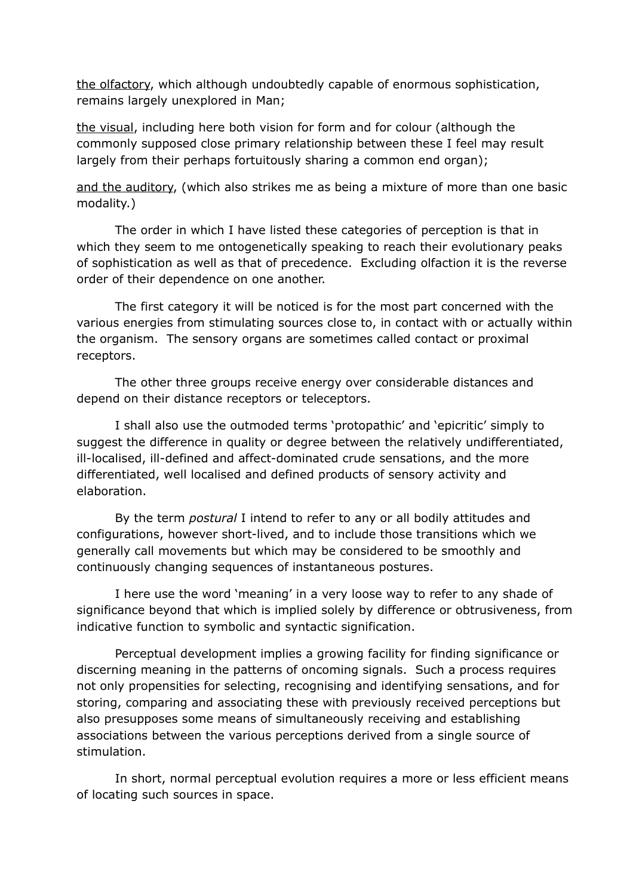the olfactory, which although undoubtedly capable of enormous sophistication, remains largely unexplored in Man;

the visual, including here both vision for form and for colour (although the commonly supposed close primary relationship between these I feel may result largely from their perhaps fortuitously sharing a common end organ);

and the auditory, (which also strikes me as being a mixture of more than one basic modality.)

The order in which I have listed these categories of perception is that in which they seem to me ontogenetically speaking to reach their evolutionary peaks of sophistication as well as that of precedence. Excluding olfaction it is the reverse order of their dependence on one another.

The first category it will be noticed is for the most part concerned with the various energies from stimulating sources close to, in contact with or actually within the organism. The sensory organs are sometimes called contact or proximal receptors.

The other three groups receive energy over considerable distances and depend on their distance receptors or teleceptors.

I shall also use the outmoded terms 'protopathic' and 'epicritic' simply to suggest the difference in quality or degree between the relatively undifferentiated, ill-localised, ill-defined and affect-dominated crude sensations, and the more differentiated, well localised and defined products of sensory activity and elaboration.

By the term *postural* I intend to refer to any or all bodily attitudes and configurations, however short-lived, and to include those transitions which we generally call movements but which may be considered to be smoothly and continuously changing sequences of instantaneous postures.

I here use the word 'meaning' in a very loose way to refer to any shade of significance beyond that which is implied solely by difference or obtrusiveness, from indicative function to symbolic and syntactic signification.

Perceptual development implies a growing facility for finding significance or discerning meaning in the patterns of oncoming signals. Such a process requires not only propensities for selecting, recognising and identifying sensations, and for storing, comparing and associating these with previously received perceptions but also presupposes some means of simultaneously receiving and establishing associations between the various perceptions derived from a single source of stimulation.

In short, normal perceptual evolution requires a more or less efficient means of locating such sources in space.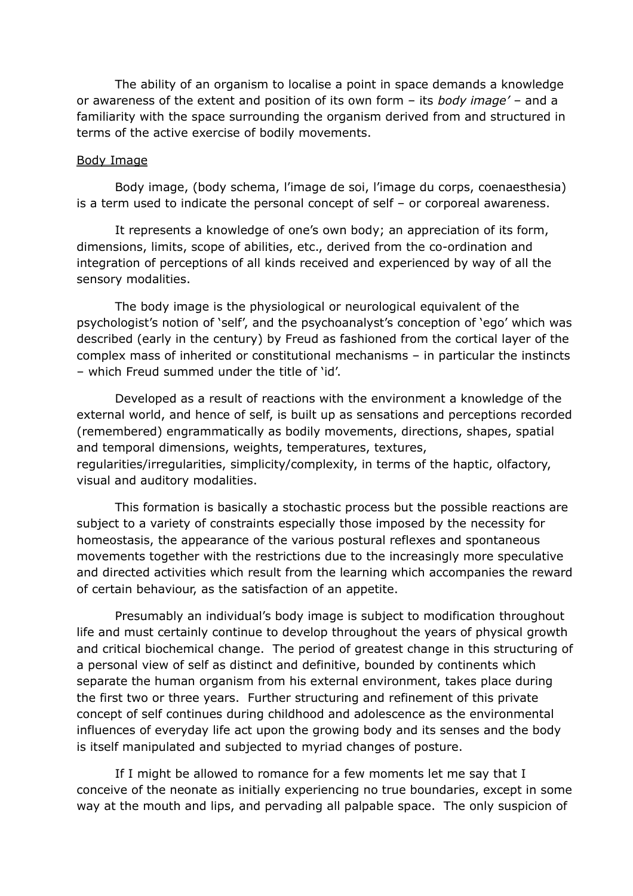The ability of an organism to localise a point in space demands a knowledge or awareness of the extent and position of its own form – its *body image'* – and a familiarity with the space surrounding the organism derived from and structured in terms of the active exercise of bodily movements.

#### Body Image

Body image, (body schema, l'image de soi, l'image du corps, coenaesthesia) is a term used to indicate the personal concept of self – or corporeal awareness.

It represents a knowledge of one's own body; an appreciation of its form, dimensions, limits, scope of abilities, etc., derived from the co-ordination and integration of perceptions of all kinds received and experienced by way of all the sensory modalities.

The body image is the physiological or neurological equivalent of the psychologist's notion of 'self', and the psychoanalyst's conception of 'ego' which was described (early in the century) by Freud as fashioned from the cortical layer of the complex mass of inherited or constitutional mechanisms – in particular the instincts – which Freud summed under the title of 'id'.

Developed as a result of reactions with the environment a knowledge of the external world, and hence of self, is built up as sensations and perceptions recorded (remembered) engrammatically as bodily movements, directions, shapes, spatial and temporal dimensions, weights, temperatures, textures, regularities/irregularities, simplicity/complexity, in terms of the haptic, olfactory, visual and auditory modalities.

This formation is basically a stochastic process but the possible reactions are subject to a variety of constraints especially those imposed by the necessity for homeostasis, the appearance of the various postural reflexes and spontaneous movements together with the restrictions due to the increasingly more speculative and directed activities which result from the learning which accompanies the reward of certain behaviour, as the satisfaction of an appetite.

Presumably an individual's body image is subject to modification throughout life and must certainly continue to develop throughout the years of physical growth and critical biochemical change. The period of greatest change in this structuring of a personal view of self as distinct and definitive, bounded by continents which separate the human organism from his external environment, takes place during the first two or three years. Further structuring and refinement of this private concept of self continues during childhood and adolescence as the environmental influences of everyday life act upon the growing body and its senses and the body is itself manipulated and subjected to myriad changes of posture.

If I might be allowed to romance for a few moments let me say that I conceive of the neonate as initially experiencing no true boundaries, except in some way at the mouth and lips, and pervading all palpable space. The only suspicion of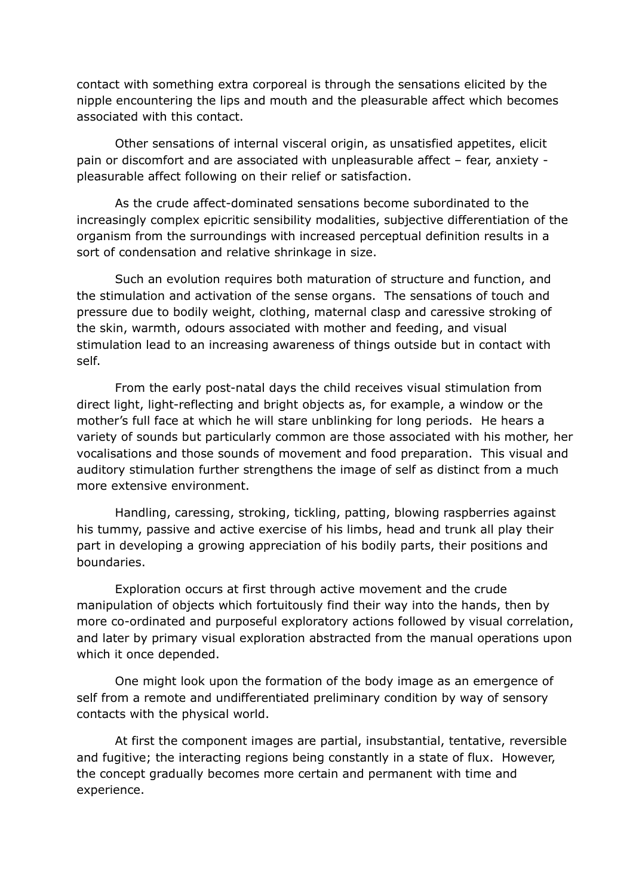contact with something extra corporeal is through the sensations elicited by the nipple encountering the lips and mouth and the pleasurable affect which becomes associated with this contact.

Other sensations of internal visceral origin, as unsatisfied appetites, elicit pain or discomfort and are associated with unpleasurable affect – fear, anxiety pleasurable affect following on their relief or satisfaction.

As the crude affect-dominated sensations become subordinated to the increasingly complex epicritic sensibility modalities, subjective differentiation of the organism from the surroundings with increased perceptual definition results in a sort of condensation and relative shrinkage in size.

Such an evolution requires both maturation of structure and function, and the stimulation and activation of the sense organs. The sensations of touch and pressure due to bodily weight, clothing, maternal clasp and caressive stroking of the skin, warmth, odours associated with mother and feeding, and visual stimulation lead to an increasing awareness of things outside but in contact with self.

From the early post-natal days the child receives visual stimulation from direct light, light-reflecting and bright objects as, for example, a window or the mother's full face at which he will stare unblinking for long periods. He hears a variety of sounds but particularly common are those associated with his mother, her vocalisations and those sounds of movement and food preparation. This visual and auditory stimulation further strengthens the image of self as distinct from a much more extensive environment.

Handling, caressing, stroking, tickling, patting, blowing raspberries against his tummy, passive and active exercise of his limbs, head and trunk all play their part in developing a growing appreciation of his bodily parts, their positions and boundaries.

Exploration occurs at first through active movement and the crude manipulation of objects which fortuitously find their way into the hands, then by more co-ordinated and purposeful exploratory actions followed by visual correlation, and later by primary visual exploration abstracted from the manual operations upon which it once depended.

One might look upon the formation of the body image as an emergence of self from a remote and undifferentiated preliminary condition by way of sensory contacts with the physical world.

At first the component images are partial, insubstantial, tentative, reversible and fugitive; the interacting regions being constantly in a state of flux. However, the concept gradually becomes more certain and permanent with time and experience.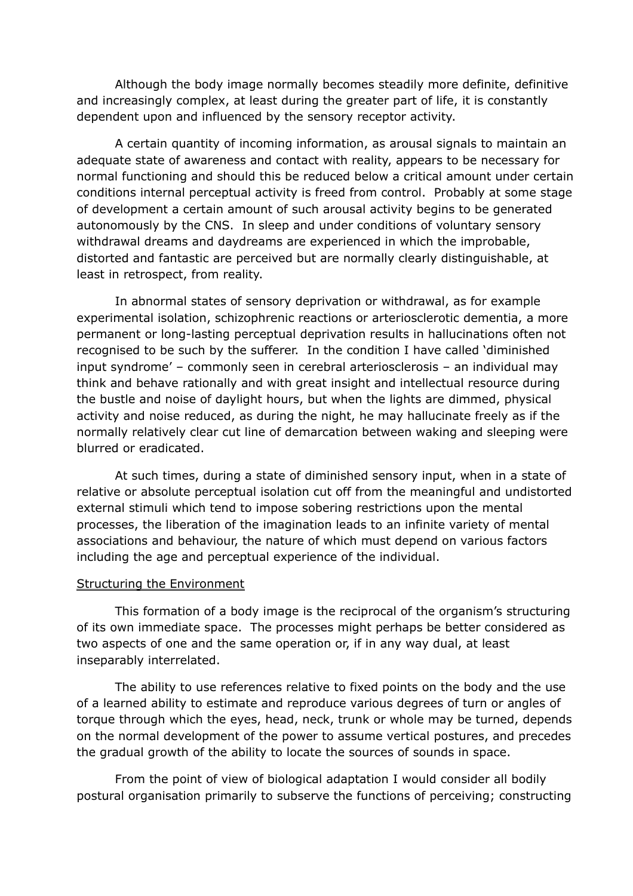Although the body image normally becomes steadily more definite, definitive and increasingly complex, at least during the greater part of life, it is constantly dependent upon and influenced by the sensory receptor activity.

A certain quantity of incoming information, as arousal signals to maintain an adequate state of awareness and contact with reality, appears to be necessary for normal functioning and should this be reduced below a critical amount under certain conditions internal perceptual activity is freed from control. Probably at some stage of development a certain amount of such arousal activity begins to be generated autonomously by the CNS. In sleep and under conditions of voluntary sensory withdrawal dreams and daydreams are experienced in which the improbable, distorted and fantastic are perceived but are normally clearly distinguishable, at least in retrospect, from reality.

In abnormal states of sensory deprivation or withdrawal, as for example experimental isolation, schizophrenic reactions or arteriosclerotic dementia, a more permanent or long-lasting perceptual deprivation results in hallucinations often not recognised to be such by the sufferer. In the condition I have called 'diminished input syndrome' – commonly seen in cerebral arteriosclerosis – an individual may think and behave rationally and with great insight and intellectual resource during the bustle and noise of daylight hours, but when the lights are dimmed, physical activity and noise reduced, as during the night, he may hallucinate freely as if the normally relatively clear cut line of demarcation between waking and sleeping were blurred or eradicated.

At such times, during a state of diminished sensory input, when in a state of relative or absolute perceptual isolation cut off from the meaningful and undistorted external stimuli which tend to impose sobering restrictions upon the mental processes, the liberation of the imagination leads to an infinite variety of mental associations and behaviour, the nature of which must depend on various factors including the age and perceptual experience of the individual.

#### Structuring the Environment

This formation of a body image is the reciprocal of the organism's structuring of its own immediate space. The processes might perhaps be better considered as two aspects of one and the same operation or, if in any way dual, at least inseparably interrelated.

The ability to use references relative to fixed points on the body and the use of a learned ability to estimate and reproduce various degrees of turn or angles of torque through which the eyes, head, neck, trunk or whole may be turned, depends on the normal development of the power to assume vertical postures, and precedes the gradual growth of the ability to locate the sources of sounds in space.

From the point of view of biological adaptation I would consider all bodily postural organisation primarily to subserve the functions of perceiving; constructing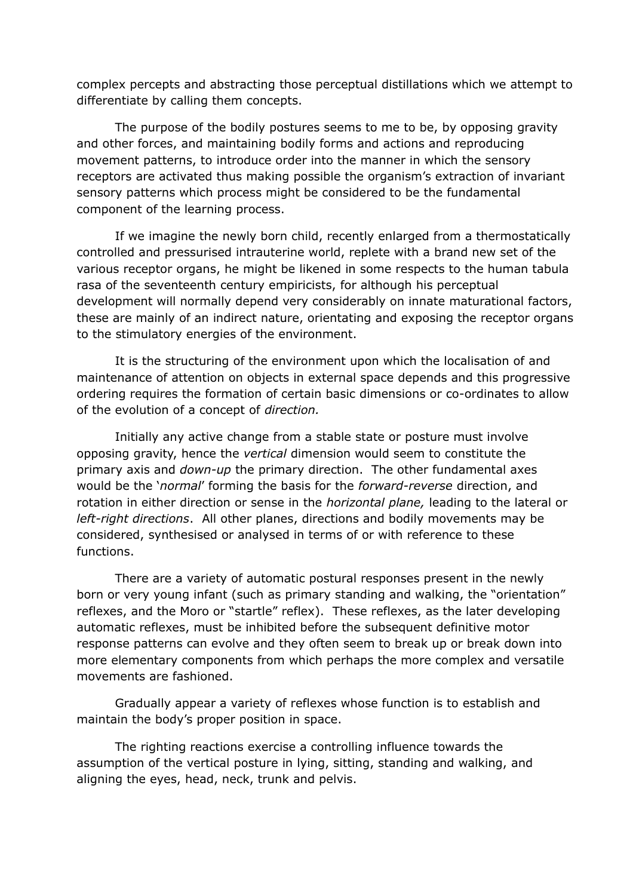complex percepts and abstracting those perceptual distillations which we attempt to differentiate by calling them concepts.

The purpose of the bodily postures seems to me to be, by opposing gravity and other forces, and maintaining bodily forms and actions and reproducing movement patterns, to introduce order into the manner in which the sensory receptors are activated thus making possible the organism's extraction of invariant sensory patterns which process might be considered to be the fundamental component of the learning process.

If we imagine the newly born child, recently enlarged from a thermostatically controlled and pressurised intrauterine world, replete with a brand new set of the various receptor organs, he might be likened in some respects to the human tabula rasa of the seventeenth century empiricists, for although his perceptual development will normally depend very considerably on innate maturational factors, these are mainly of an indirect nature, orientating and exposing the receptor organs to the stimulatory energies of the environment.

It is the structuring of the environment upon which the localisation of and maintenance of attention on objects in external space depends and this progressive ordering requires the formation of certain basic dimensions or co-ordinates to allow of the evolution of a concept of *direction.*

Initially any active change from a stable state or posture must involve opposing gravity, hence the *vertical* dimension would seem to constitute the primary axis and *down-up* the primary direction. The other fundamental axes would be the '*normal*' forming the basis for the *forward-reverse* direction, and rotation in either direction or sense in the *horizontal plane,* leading to the lateral or *left-right directions*. All other planes, directions and bodily movements may be considered, synthesised or analysed in terms of or with reference to these functions.

There are a variety of automatic postural responses present in the newly born or very young infant (such as primary standing and walking, the "orientation" reflexes, and the Moro or "startle" reflex). These reflexes, as the later developing automatic reflexes, must be inhibited before the subsequent definitive motor response patterns can evolve and they often seem to break up or break down into more elementary components from which perhaps the more complex and versatile movements are fashioned.

Gradually appear a variety of reflexes whose function is to establish and maintain the body's proper position in space.

The righting reactions exercise a controlling influence towards the assumption of the vertical posture in lying, sitting, standing and walking, and aligning the eyes, head, neck, trunk and pelvis.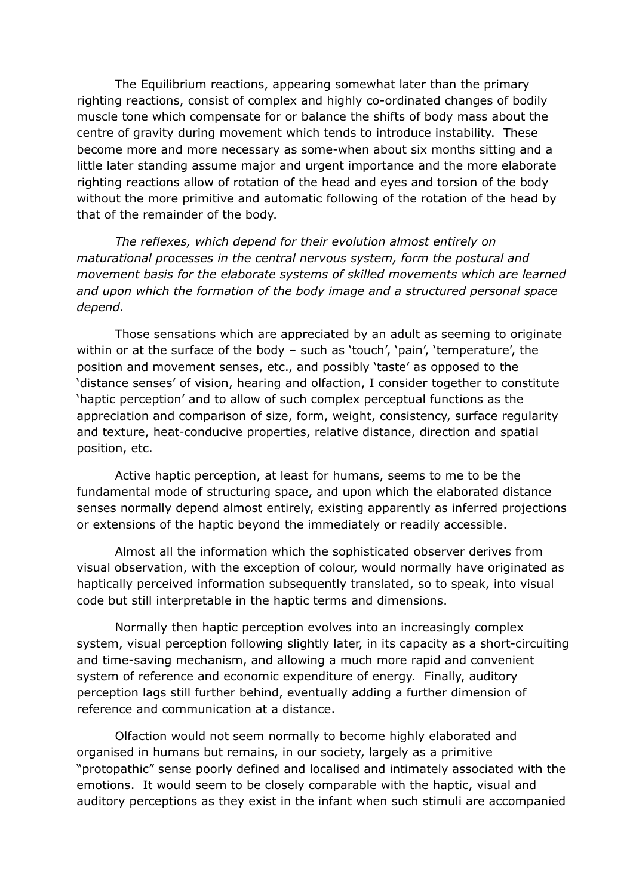The Equilibrium reactions, appearing somewhat later than the primary righting reactions, consist of complex and highly co-ordinated changes of bodily muscle tone which compensate for or balance the shifts of body mass about the centre of gravity during movement which tends to introduce instability. These become more and more necessary as some-when about six months sitting and a little later standing assume major and urgent importance and the more elaborate righting reactions allow of rotation of the head and eyes and torsion of the body without the more primitive and automatic following of the rotation of the head by that of the remainder of the body.

*The reflexes, which depend for their evolution almost entirely on maturational processes in the central nervous system, form the postural and movement basis for the elaborate systems of skilled movements which are learned and upon which the formation of the body image and a structured personal space depend.*

Those sensations which are appreciated by an adult as seeming to originate within or at the surface of the body – such as 'touch', 'pain', 'temperature', the position and movement senses, etc., and possibly 'taste' as opposed to the 'distance senses' of vision, hearing and olfaction, I consider together to constitute 'haptic perception' and to allow of such complex perceptual functions as the appreciation and comparison of size, form, weight, consistency, surface regularity and texture, heat-conducive properties, relative distance, direction and spatial position, etc.

Active haptic perception, at least for humans, seems to me to be the fundamental mode of structuring space, and upon which the elaborated distance senses normally depend almost entirely, existing apparently as inferred projections or extensions of the haptic beyond the immediately or readily accessible.

Almost all the information which the sophisticated observer derives from visual observation, with the exception of colour, would normally have originated as haptically perceived information subsequently translated, so to speak, into visual code but still interpretable in the haptic terms and dimensions.

Normally then haptic perception evolves into an increasingly complex system, visual perception following slightly later, in its capacity as a short-circuiting and time-saving mechanism, and allowing a much more rapid and convenient system of reference and economic expenditure of energy. Finally, auditory perception lags still further behind, eventually adding a further dimension of reference and communication at a distance.

Olfaction would not seem normally to become highly elaborated and organised in humans but remains, in our society, largely as a primitive "protopathic" sense poorly defined and localised and intimately associated with the emotions. It would seem to be closely comparable with the haptic, visual and auditory perceptions as they exist in the infant when such stimuli are accompanied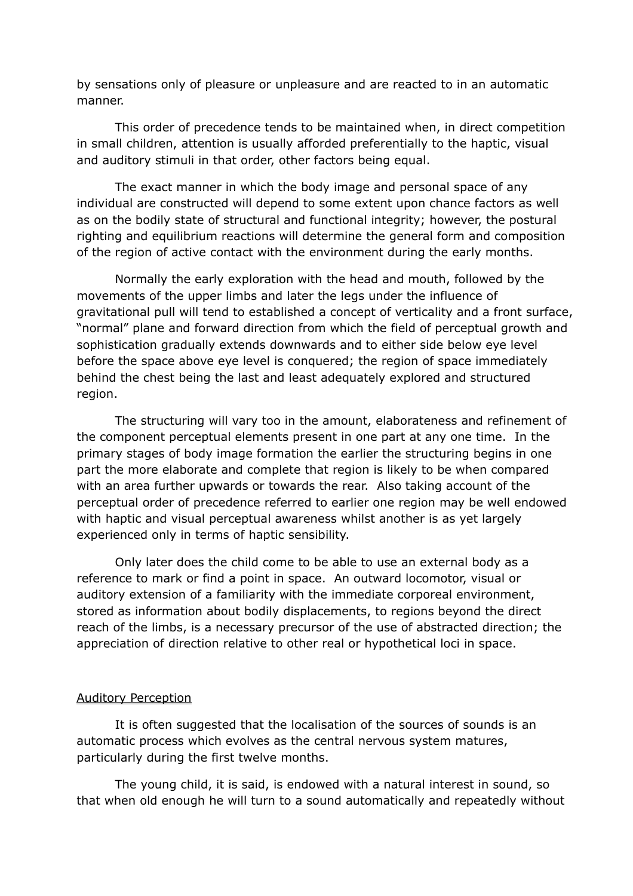by sensations only of pleasure or unpleasure and are reacted to in an automatic manner.

This order of precedence tends to be maintained when, in direct competition in small children, attention is usually afforded preferentially to the haptic, visual and auditory stimuli in that order, other factors being equal.

The exact manner in which the body image and personal space of any individual are constructed will depend to some extent upon chance factors as well as on the bodily state of structural and functional integrity; however, the postural righting and equilibrium reactions will determine the general form and composition of the region of active contact with the environment during the early months.

Normally the early exploration with the head and mouth, followed by the movements of the upper limbs and later the legs under the influence of gravitational pull will tend to established a concept of verticality and a front surface, "normal" plane and forward direction from which the field of perceptual growth and sophistication gradually extends downwards and to either side below eye level before the space above eye level is conquered; the region of space immediately behind the chest being the last and least adequately explored and structured region.

The structuring will vary too in the amount, elaborateness and refinement of the component perceptual elements present in one part at any one time. In the primary stages of body image formation the earlier the structuring begins in one part the more elaborate and complete that region is likely to be when compared with an area further upwards or towards the rear. Also taking account of the perceptual order of precedence referred to earlier one region may be well endowed with haptic and visual perceptual awareness whilst another is as yet largely experienced only in terms of haptic sensibility.

Only later does the child come to be able to use an external body as a reference to mark or find a point in space. An outward locomotor, visual or auditory extension of a familiarity with the immediate corporeal environment, stored as information about bodily displacements, to regions beyond the direct reach of the limbs, is a necessary precursor of the use of abstracted direction; the appreciation of direction relative to other real or hypothetical loci in space.

#### Auditory Perception

It is often suggested that the localisation of the sources of sounds is an automatic process which evolves as the central nervous system matures, particularly during the first twelve months.

The young child, it is said, is endowed with a natural interest in sound, so that when old enough he will turn to a sound automatically and repeatedly without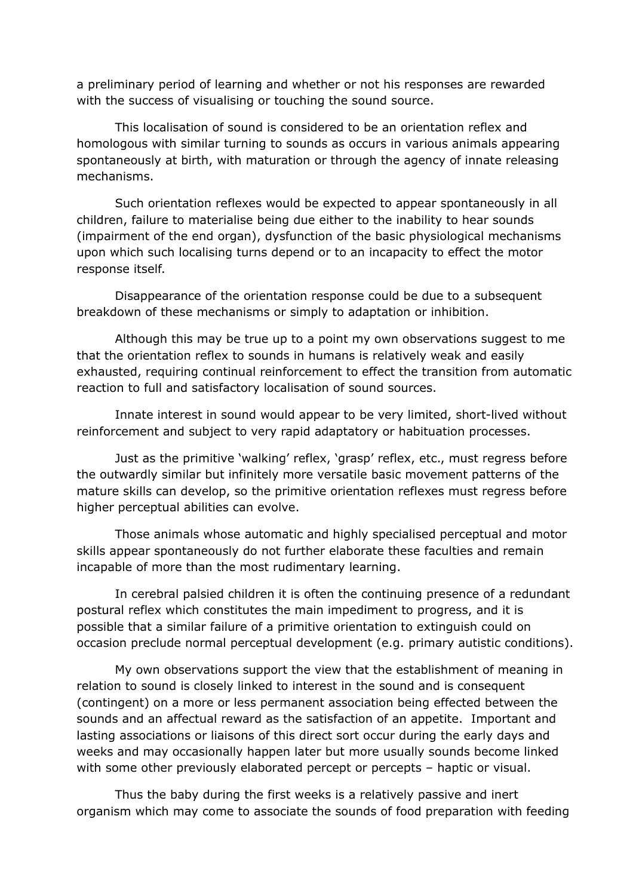a preliminary period of learning and whether or not his responses are rewarded with the success of visualising or touching the sound source.

This localisation of sound is considered to be an orientation reflex and homologous with similar turning to sounds as occurs in various animals appearing spontaneously at birth, with maturation or through the agency of innate releasing mechanisms.

Such orientation reflexes would be expected to appear spontaneously in all children, failure to materialise being due either to the inability to hear sounds (impairment of the end organ), dysfunction of the basic physiological mechanisms upon which such localising turns depend or to an incapacity to effect the motor response itself.

Disappearance of the orientation response could be due to a subsequent breakdown of these mechanisms or simply to adaptation or inhibition.

Although this may be true up to a point my own observations suggest to me that the orientation reflex to sounds in humans is relatively weak and easily exhausted, requiring continual reinforcement to effect the transition from automatic reaction to full and satisfactory localisation of sound sources.

Innate interest in sound would appear to be very limited, short-lived without reinforcement and subject to very rapid adaptatory or habituation processes.

Just as the primitive 'walking' reflex, 'grasp' reflex, etc., must regress before the outwardly similar but infinitely more versatile basic movement patterns of the mature skills can develop, so the primitive orientation reflexes must regress before higher perceptual abilities can evolve.

Those animals whose automatic and highly specialised perceptual and motor skills appear spontaneously do not further elaborate these faculties and remain incapable of more than the most rudimentary learning.

In cerebral palsied children it is often the continuing presence of a redundant postural reflex which constitutes the main impediment to progress, and it is possible that a similar failure of a primitive orientation to extinguish could on occasion preclude normal perceptual development (e.g. primary autistic conditions).

My own observations support the view that the establishment of meaning in relation to sound is closely linked to interest in the sound and is consequent (contingent) on a more or less permanent association being effected between the sounds and an affectual reward as the satisfaction of an appetite. Important and lasting associations or liaisons of this direct sort occur during the early days and weeks and may occasionally happen later but more usually sounds become linked with some other previously elaborated percept or percepts – haptic or visual.

Thus the baby during the first weeks is a relatively passive and inert organism which may come to associate the sounds of food preparation with feeding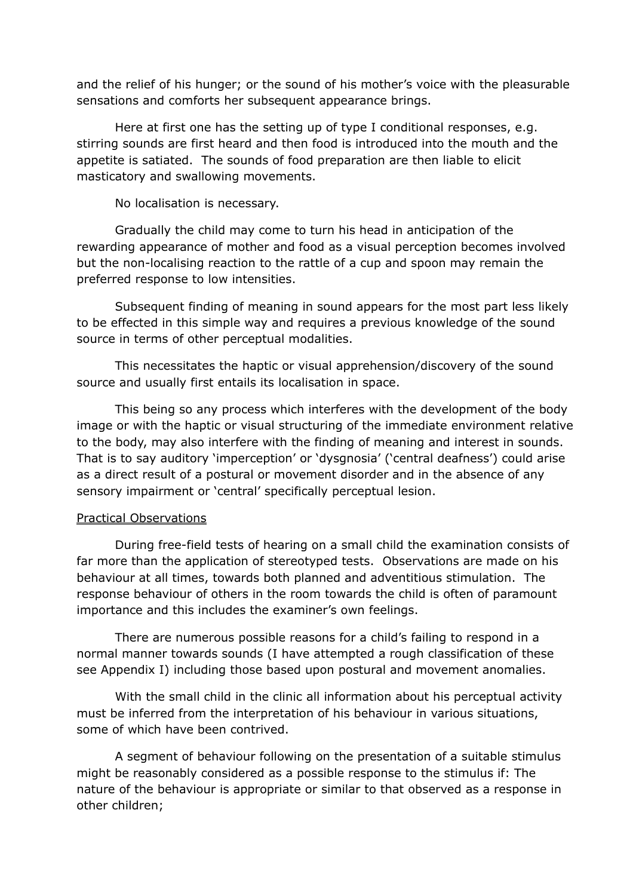and the relief of his hunger; or the sound of his mother's voice with the pleasurable sensations and comforts her subsequent appearance brings.

Here at first one has the setting up of type I conditional responses, e.g. stirring sounds are first heard and then food is introduced into the mouth and the appetite is satiated. The sounds of food preparation are then liable to elicit masticatory and swallowing movements.

No localisation is necessary.

Gradually the child may come to turn his head in anticipation of the rewarding appearance of mother and food as a visual perception becomes involved but the non-localising reaction to the rattle of a cup and spoon may remain the preferred response to low intensities.

Subsequent finding of meaning in sound appears for the most part less likely to be effected in this simple way and requires a previous knowledge of the sound source in terms of other perceptual modalities.

This necessitates the haptic or visual apprehension/discovery of the sound source and usually first entails its localisation in space.

This being so any process which interferes with the development of the body image or with the haptic or visual structuring of the immediate environment relative to the body, may also interfere with the finding of meaning and interest in sounds. That is to say auditory 'imperception' or 'dysgnosia' ('central deafness') could arise as a direct result of a postural or movement disorder and in the absence of any sensory impairment or 'central' specifically perceptual lesion.

## Practical Observations

During free-field tests of hearing on a small child the examination consists of far more than the application of stereotyped tests. Observations are made on his behaviour at all times, towards both planned and adventitious stimulation. The response behaviour of others in the room towards the child is often of paramount importance and this includes the examiner's own feelings.

There are numerous possible reasons for a child's failing to respond in a normal manner towards sounds (I have attempted a rough classification of these see Appendix I) including those based upon postural and movement anomalies.

With the small child in the clinic all information about his perceptual activity must be inferred from the interpretation of his behaviour in various situations, some of which have been contrived.

A segment of behaviour following on the presentation of a suitable stimulus might be reasonably considered as a possible response to the stimulus if: The nature of the behaviour is appropriate or similar to that observed as a response in other children;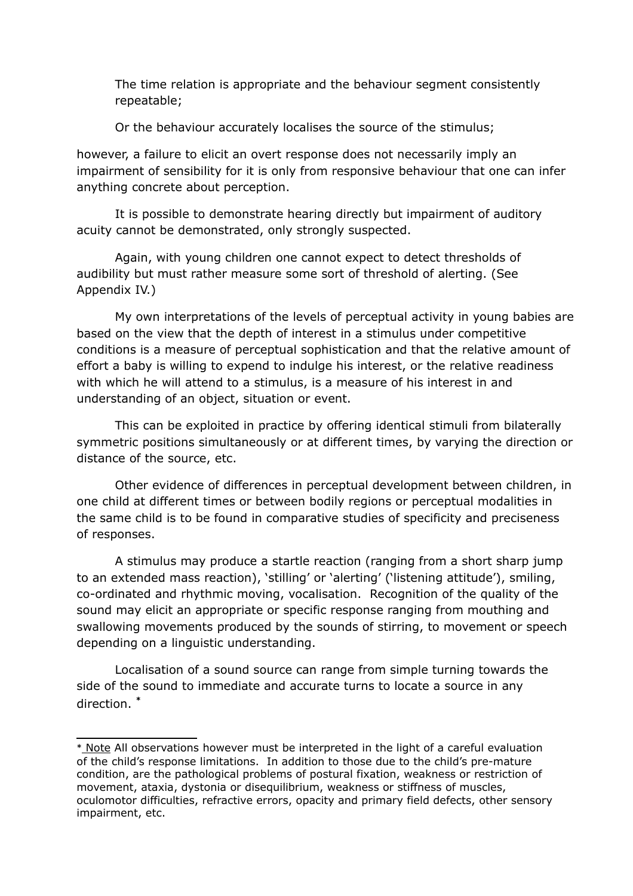The time relation is appropriate and the behaviour segment consistently repeatable;

Or the behaviour accurately localises the source of the stimulus;

however, a failure to elicit an overt response does not necessarily imply an impairment of sensibility for it is only from responsive behaviour that one can infer anything concrete about perception.

It is possible to demonstrate hearing directly but impairment of auditory acuity cannot be demonstrated, only strongly suspected.

Again, with young children one cannot expect to detect thresholds of audibility but must rather measure some sort of threshold of alerting. (See Appendix IV.)

My own interpretations of the levels of perceptual activity in young babies are based on the view that the depth of interest in a stimulus under competitive conditions is a measure of perceptual sophistication and that the relative amount of effort a baby is willing to expend to indulge his interest, or the relative readiness with which he will attend to a stimulus, is a measure of his interest in and understanding of an object, situation or event.

This can be exploited in practice by offering identical stimuli from bilaterally symmetric positions simultaneously or at different times, by varying the direction or distance of the source, etc.

Other evidence of differences in perceptual development between children, in one child at different times or between bodily regions or perceptual modalities in the same child is to be found in comparative studies of specificity and preciseness of responses.

A stimulus may produce a startle reaction (ranging from a short sharp jump to an extended mass reaction), 'stilling' or 'alerting' ('listening attitude'), smiling, co-ordinated and rhythmic moving, vocalisation. Recognition of the quality of the sound may elicit an appropriate or specific response ranging from mouthing and swallowing movements produced by the sounds of stirring, to movement or speech depending on a linguistic understanding.

Localisation of a sound source can range from simple turning towards the side of the sound to immediate and accurate turns to locate a source in any direction. **[\\*](#page-13-0)**

<span id="page-13-0"></span><sup>\*</sup> Note All observations however must be interpreted in the light of a careful evaluation of the child's response limitations. In addition to those due to the child's pre-mature condition, are the pathological problems of postural fixation, weakness or restriction of movement, ataxia, dystonia or disequilibrium, weakness or stiffness of muscles, oculomotor difficulties, refractive errors, opacity and primary field defects, other sensory impairment, etc.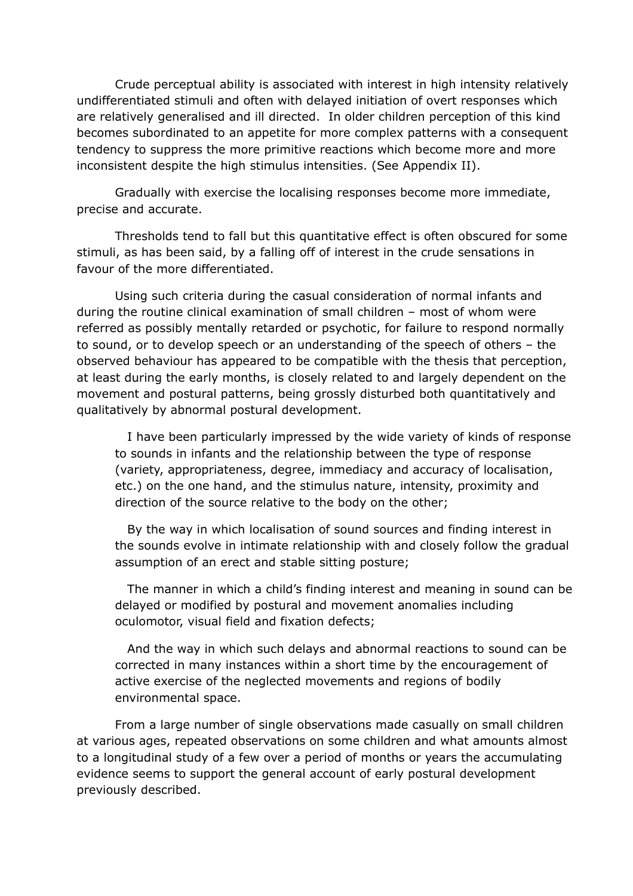Crude perceptual ability is associated with interest in high intensity relatively undifferentiated stimuli and often with delayed initiation of overt responses which are relatively generalised and ill directed. In older children perception of this kind becomes subordinated to an appetite for more complex patterns with a consequent tendency to suppress the more primitive reactions which become more and more inconsistent despite the high stimulus intensities. (See Appendix II).

Gradually with exercise the localising responses become more immediate, precise and accurate.

Thresholds tend to fall but this quantitative effect is often obscured for some stimuli, as has been said, by a falling off of interest in the crude sensations in favour of the more differentiated.

Using such criteria during the casual consideration of normal infants and during the routine clinical examination of small children – most of whom were referred as possibly mentally retarded or psychotic, for failure to respond normally to sound, or to develop speech or an understanding of the speech of others – the observed behaviour has appeared to be compatible with the thesis that perception, at least during the early months, is closely related to and largely dependent on the movement and postural patterns, being grossly disturbed both quantitatively and qualitatively by abnormal postural development.

 I have been particularly impressed by the wide variety of kinds of response to sounds in infants and the relationship between the type of response (variety, appropriateness, degree, immediacy and accuracy of localisation, etc.) on the one hand, and the stimulus nature, intensity, proximity and direction of the source relative to the body on the other;

 By the way in which localisation of sound sources and finding interest in the sounds evolve in intimate relationship with and closely follow the gradual assumption of an erect and stable sitting posture;

 The manner in which a child's finding interest and meaning in sound can be delayed or modified by postural and movement anomalies including oculomotor, visual field and fixation defects;

 And the way in which such delays and abnormal reactions to sound can be corrected in many instances within a short time by the encouragement of active exercise of the neglected movements and regions of bodily environmental space.

From a large number of single observations made casually on small children at various ages, repeated observations on some children and what amounts almost to a longitudinal study of a few over a period of months or years the accumulating evidence seems to support the general account of early postural development previously described.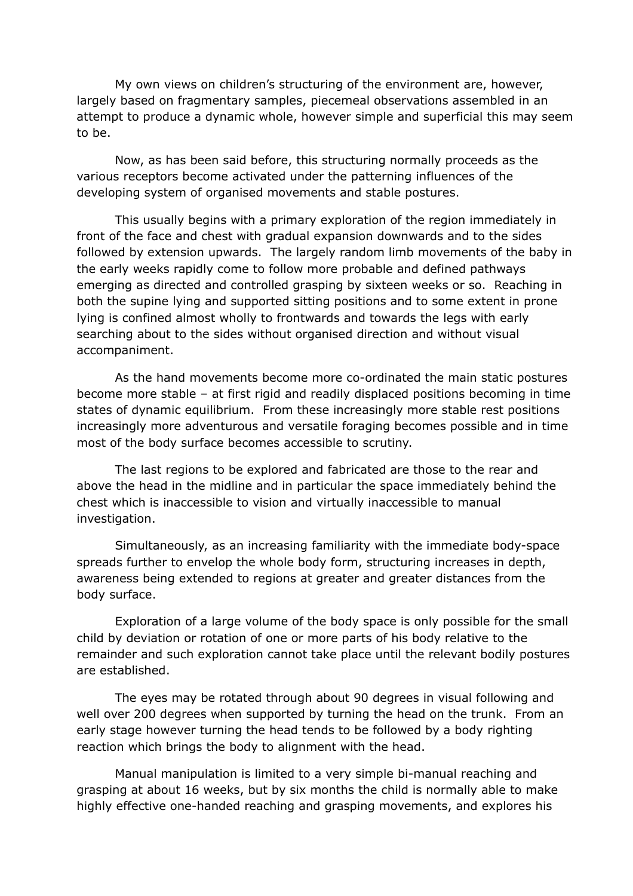My own views on children's structuring of the environment are, however, largely based on fragmentary samples, piecemeal observations assembled in an attempt to produce a dynamic whole, however simple and superficial this may seem to be.

Now, as has been said before, this structuring normally proceeds as the various receptors become activated under the patterning influences of the developing system of organised movements and stable postures.

This usually begins with a primary exploration of the region immediately in front of the face and chest with gradual expansion downwards and to the sides followed by extension upwards. The largely random limb movements of the baby in the early weeks rapidly come to follow more probable and defined pathways emerging as directed and controlled grasping by sixteen weeks or so. Reaching in both the supine lying and supported sitting positions and to some extent in prone lying is confined almost wholly to frontwards and towards the legs with early searching about to the sides without organised direction and without visual accompaniment.

As the hand movements become more co-ordinated the main static postures become more stable – at first rigid and readily displaced positions becoming in time states of dynamic equilibrium. From these increasingly more stable rest positions increasingly more adventurous and versatile foraging becomes possible and in time most of the body surface becomes accessible to scrutiny.

The last regions to be explored and fabricated are those to the rear and above the head in the midline and in particular the space immediately behind the chest which is inaccessible to vision and virtually inaccessible to manual investigation.

Simultaneously, as an increasing familiarity with the immediate body-space spreads further to envelop the whole body form, structuring increases in depth, awareness being extended to regions at greater and greater distances from the body surface.

Exploration of a large volume of the body space is only possible for the small child by deviation or rotation of one or more parts of his body relative to the remainder and such exploration cannot take place until the relevant bodily postures are established.

The eyes may be rotated through about 90 degrees in visual following and well over 200 degrees when supported by turning the head on the trunk. From an early stage however turning the head tends to be followed by a body righting reaction which brings the body to alignment with the head.

Manual manipulation is limited to a very simple bi-manual reaching and grasping at about 16 weeks, but by six months the child is normally able to make highly effective one-handed reaching and grasping movements, and explores his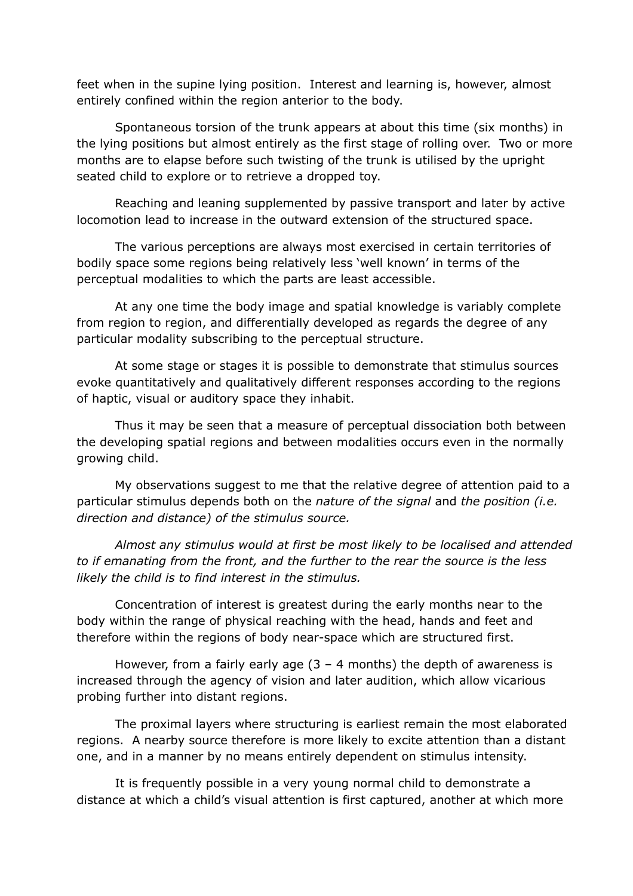feet when in the supine lying position. Interest and learning is, however, almost entirely confined within the region anterior to the body.

Spontaneous torsion of the trunk appears at about this time (six months) in the lying positions but almost entirely as the first stage of rolling over. Two or more months are to elapse before such twisting of the trunk is utilised by the upright seated child to explore or to retrieve a dropped toy.

Reaching and leaning supplemented by passive transport and later by active locomotion lead to increase in the outward extension of the structured space.

The various perceptions are always most exercised in certain territories of bodily space some regions being relatively less 'well known' in terms of the perceptual modalities to which the parts are least accessible.

At any one time the body image and spatial knowledge is variably complete from region to region, and differentially developed as regards the degree of any particular modality subscribing to the perceptual structure.

At some stage or stages it is possible to demonstrate that stimulus sources evoke quantitatively and qualitatively different responses according to the regions of haptic, visual or auditory space they inhabit.

Thus it may be seen that a measure of perceptual dissociation both between the developing spatial regions and between modalities occurs even in the normally growing child.

My observations suggest to me that the relative degree of attention paid to a particular stimulus depends both on the *nature of the signal* and *the position (i.e. direction and distance) of the stimulus source.*

*Almost any stimulus would at first be most likely to be localised and attended to if emanating from the front, and the further to the rear the source is the less likely the child is to find interest in the stimulus.*

Concentration of interest is greatest during the early months near to the body within the range of physical reaching with the head, hands and feet and therefore within the regions of body near-space which are structured first.

However, from a fairly early age  $(3 - 4$  months) the depth of awareness is increased through the agency of vision and later audition, which allow vicarious probing further into distant regions.

The proximal layers where structuring is earliest remain the most elaborated regions. A nearby source therefore is more likely to excite attention than a distant one, and in a manner by no means entirely dependent on stimulus intensity.

It is frequently possible in a very young normal child to demonstrate a distance at which a child's visual attention is first captured, another at which more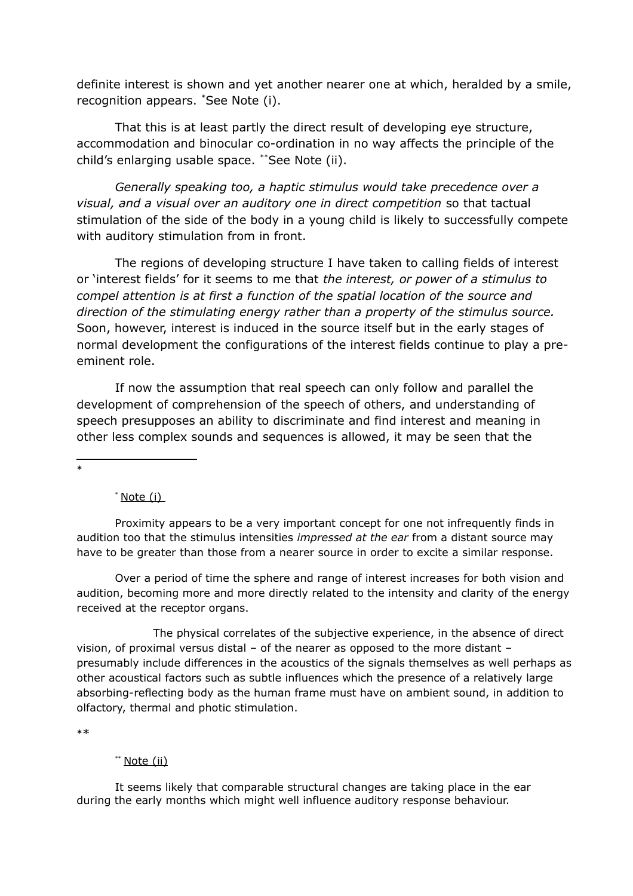definite interest is shown and yet another nearer one at which, heralded by a smile, recognition appears. [\\*](#page-17-0)See Note (i).

That this is at least partly the direct result of developing eye structure, accommodation and binocular co-ordination in no way affects the principle of the child's enlarging usable space. [\\*\\*](#page-17-1)See Note (ii).

*Generally speaking too, a haptic stimulus would take precedence over a visual, and a visual over an auditory one in direct competition* so that tactual stimulation of the side of the body in a young child is likely to successfully compete with auditory stimulation from in front.

The regions of developing structure I have taken to calling fields of interest or 'interest fields' for it seems to me that *the interest, or power of a stimulus to compel attention is at first a function of the spatial location of the source and direction of the stimulating energy rather than a property of the stimulus source.*  Soon, however, interest is induced in the source itself but in the early stages of normal development the configurations of the interest fields continue to play a preeminent role.

If now the assumption that real speech can only follow and parallel the development of comprehension of the speech of others, and understanding of speech presupposes an ability to discriminate and find interest and meaning in other less complex sounds and sequences is allowed, it may be seen that the

<span id="page-17-0"></span>\*

 $*$  Note (i)

Proximity appears to be a very important concept for one not infrequently finds in audition too that the stimulus intensities *impressed at the ear* from a distant source may have to be greater than those from a nearer source in order to excite a similar response.

Over a period of time the sphere and range of interest increases for both vision and audition, becoming more and more directly related to the intensity and clarity of the energy received at the receptor organs.

The physical correlates of the subjective experience, in the absence of direct vision, of proximal versus distal – of the nearer as opposed to the more distant – presumably include differences in the acoustics of the signals themselves as well perhaps as other acoustical factors such as subtle influences which the presence of a relatively large absorbing-reflecting body as the human frame must have on ambient sound, in addition to olfactory, thermal and photic stimulation.

<span id="page-17-1"></span>\*\*

#### \*\* Note (ii)

It seems likely that comparable structural changes are taking place in the ear during the early months which might well influence auditory response behaviour.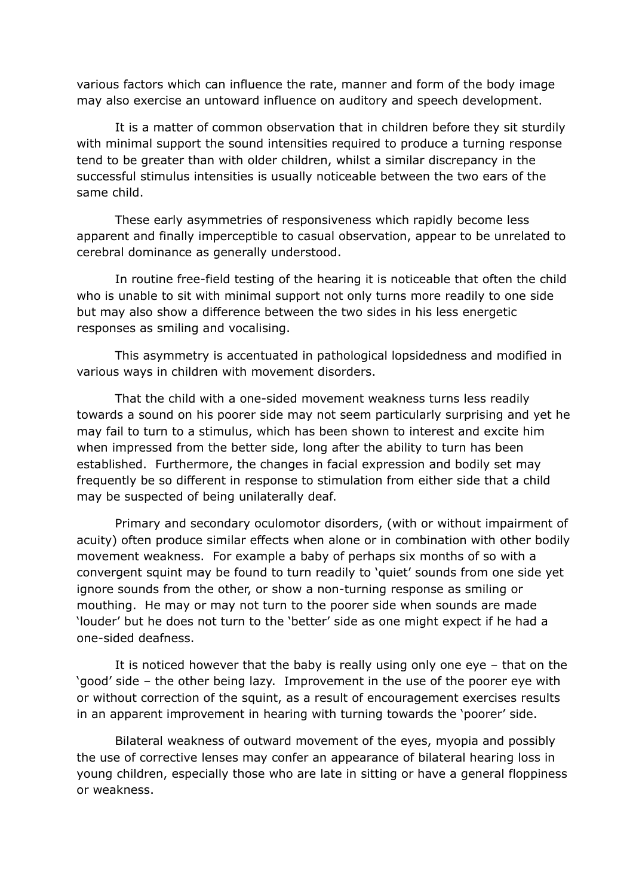various factors which can influence the rate, manner and form of the body image may also exercise an untoward influence on auditory and speech development.

It is a matter of common observation that in children before they sit sturdily with minimal support the sound intensities required to produce a turning response tend to be greater than with older children, whilst a similar discrepancy in the successful stimulus intensities is usually noticeable between the two ears of the same child.

These early asymmetries of responsiveness which rapidly become less apparent and finally imperceptible to casual observation, appear to be unrelated to cerebral dominance as generally understood.

In routine free-field testing of the hearing it is noticeable that often the child who is unable to sit with minimal support not only turns more readily to one side but may also show a difference between the two sides in his less energetic responses as smiling and vocalising.

This asymmetry is accentuated in pathological lopsidedness and modified in various ways in children with movement disorders.

That the child with a one-sided movement weakness turns less readily towards a sound on his poorer side may not seem particularly surprising and yet he may fail to turn to a stimulus, which has been shown to interest and excite him when impressed from the better side, long after the ability to turn has been established. Furthermore, the changes in facial expression and bodily set may frequently be so different in response to stimulation from either side that a child may be suspected of being unilaterally deaf.

Primary and secondary oculomotor disorders, (with or without impairment of acuity) often produce similar effects when alone or in combination with other bodily movement weakness. For example a baby of perhaps six months of so with a convergent squint may be found to turn readily to 'quiet' sounds from one side yet ignore sounds from the other, or show a non-turning response as smiling or mouthing. He may or may not turn to the poorer side when sounds are made 'louder' but he does not turn to the 'better' side as one might expect if he had a one-sided deafness.

It is noticed however that the baby is really using only one eye – that on the 'good' side – the other being lazy. Improvement in the use of the poorer eye with or without correction of the squint, as a result of encouragement exercises results in an apparent improvement in hearing with turning towards the 'poorer' side.

Bilateral weakness of outward movement of the eyes, myopia and possibly the use of corrective lenses may confer an appearance of bilateral hearing loss in young children, especially those who are late in sitting or have a general floppiness or weakness.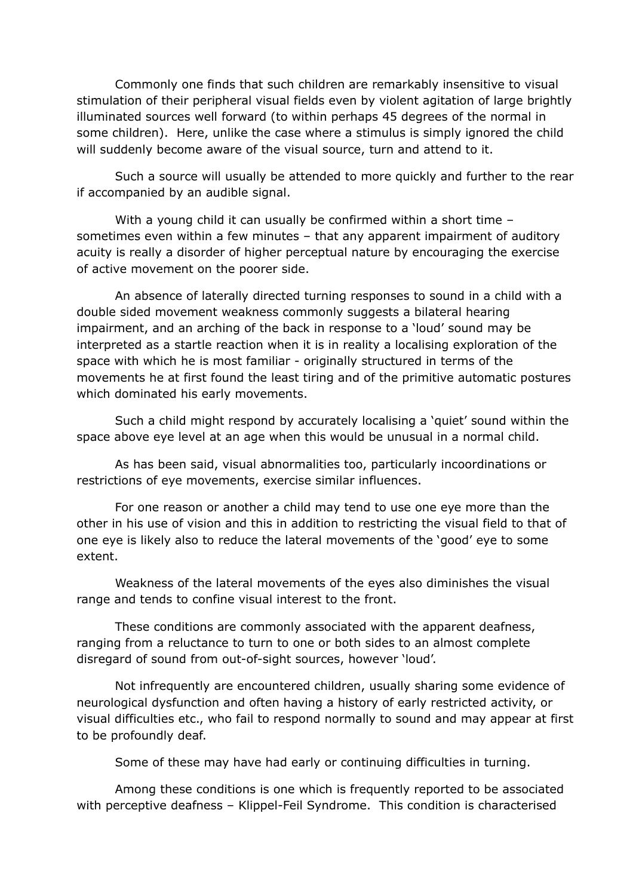Commonly one finds that such children are remarkably insensitive to visual stimulation of their peripheral visual fields even by violent agitation of large brightly illuminated sources well forward (to within perhaps 45 degrees of the normal in some children). Here, unlike the case where a stimulus is simply ignored the child will suddenly become aware of the visual source, turn and attend to it.

Such a source will usually be attended to more quickly and further to the rear if accompanied by an audible signal.

With a young child it can usually be confirmed within a short time – sometimes even within a few minutes – that any apparent impairment of auditory acuity is really a disorder of higher perceptual nature by encouraging the exercise of active movement on the poorer side.

An absence of laterally directed turning responses to sound in a child with a double sided movement weakness commonly suggests a bilateral hearing impairment, and an arching of the back in response to a 'loud' sound may be interpreted as a startle reaction when it is in reality a localising exploration of the space with which he is most familiar - originally structured in terms of the movements he at first found the least tiring and of the primitive automatic postures which dominated his early movements.

Such a child might respond by accurately localising a 'quiet' sound within the space above eye level at an age when this would be unusual in a normal child.

As has been said, visual abnormalities too, particularly incoordinations or restrictions of eye movements, exercise similar influences.

For one reason or another a child may tend to use one eye more than the other in his use of vision and this in addition to restricting the visual field to that of one eye is likely also to reduce the lateral movements of the 'good' eye to some extent.

Weakness of the lateral movements of the eyes also diminishes the visual range and tends to confine visual interest to the front.

These conditions are commonly associated with the apparent deafness, ranging from a reluctance to turn to one or both sides to an almost complete disregard of sound from out-of-sight sources, however 'loud'.

Not infrequently are encountered children, usually sharing some evidence of neurological dysfunction and often having a history of early restricted activity, or visual difficulties etc., who fail to respond normally to sound and may appear at first to be profoundly deaf.

Some of these may have had early or continuing difficulties in turning.

Among these conditions is one which is frequently reported to be associated with perceptive deafness – Klippel-Feil Syndrome. This condition is characterised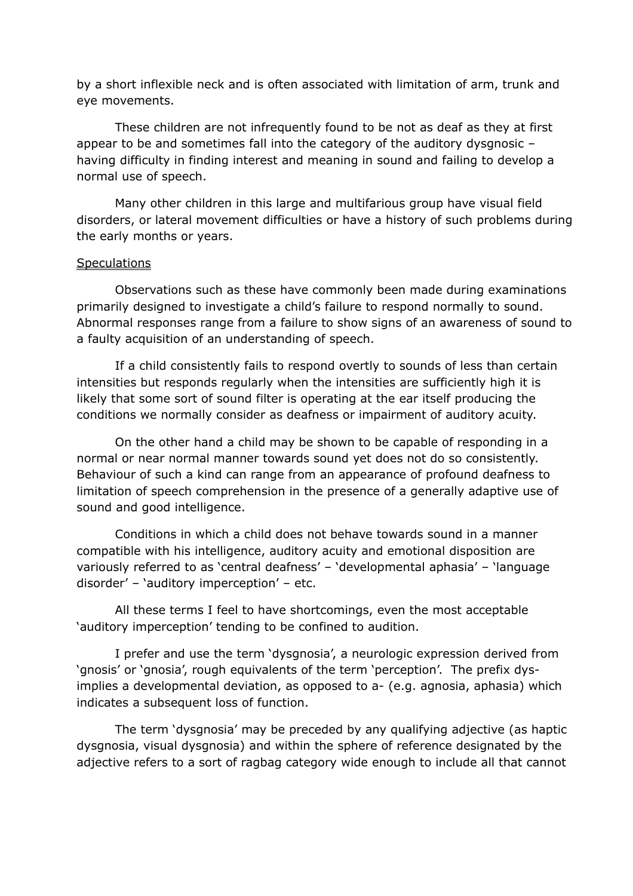by a short inflexible neck and is often associated with limitation of arm, trunk and eye movements.

These children are not infrequently found to be not as deaf as they at first appear to be and sometimes fall into the category of the auditory dysgnosic – having difficulty in finding interest and meaning in sound and failing to develop a normal use of speech.

Many other children in this large and multifarious group have visual field disorders, or lateral movement difficulties or have a history of such problems during the early months or years.

### **Speculations**

Observations such as these have commonly been made during examinations primarily designed to investigate a child's failure to respond normally to sound. Abnormal responses range from a failure to show signs of an awareness of sound to a faulty acquisition of an understanding of speech.

If a child consistently fails to respond overtly to sounds of less than certain intensities but responds regularly when the intensities are sufficiently high it is likely that some sort of sound filter is operating at the ear itself producing the conditions we normally consider as deafness or impairment of auditory acuity.

On the other hand a child may be shown to be capable of responding in a normal or near normal manner towards sound yet does not do so consistently. Behaviour of such a kind can range from an appearance of profound deafness to limitation of speech comprehension in the presence of a generally adaptive use of sound and good intelligence.

Conditions in which a child does not behave towards sound in a manner compatible with his intelligence, auditory acuity and emotional disposition are variously referred to as 'central deafness' – 'developmental aphasia' – 'language disorder' – 'auditory imperception' – etc.

All these terms I feel to have shortcomings, even the most acceptable 'auditory imperception' tending to be confined to audition.

I prefer and use the term 'dysgnosia', a neurologic expression derived from 'gnosis' or 'gnosia', rough equivalents of the term 'perception'. The prefix dysimplies a developmental deviation, as opposed to a- (e.g. agnosia, aphasia) which indicates a subsequent loss of function.

The term 'dysgnosia' may be preceded by any qualifying adjective (as haptic dysgnosia, visual dysgnosia) and within the sphere of reference designated by the adjective refers to a sort of ragbag category wide enough to include all that cannot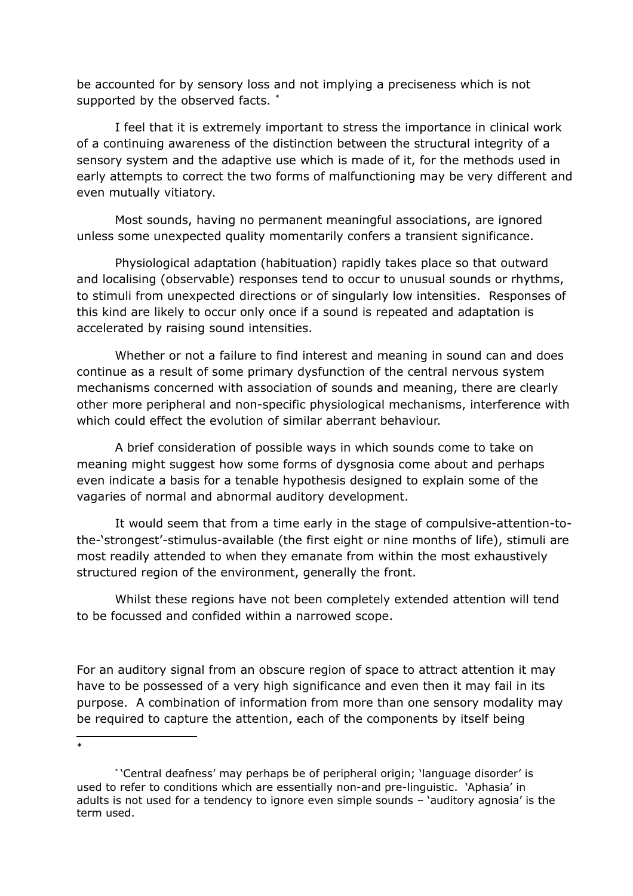be accounted for by sensory loss and not implying a preciseness which is not supported by the observed facts. [\\*](#page-21-0)

I feel that it is extremely important to stress the importance in clinical work of a continuing awareness of the distinction between the structural integrity of a sensory system and the adaptive use which is made of it, for the methods used in early attempts to correct the two forms of malfunctioning may be very different and even mutually vitiatory.

Most sounds, having no permanent meaningful associations, are ignored unless some unexpected quality momentarily confers a transient significance.

Physiological adaptation (habituation) rapidly takes place so that outward and localising (observable) responses tend to occur to unusual sounds or rhythms, to stimuli from unexpected directions or of singularly low intensities. Responses of this kind are likely to occur only once if a sound is repeated and adaptation is accelerated by raising sound intensities.

Whether or not a failure to find interest and meaning in sound can and does continue as a result of some primary dysfunction of the central nervous system mechanisms concerned with association of sounds and meaning, there are clearly other more peripheral and non-specific physiological mechanisms, interference with which could effect the evolution of similar aberrant behaviour.

A brief consideration of possible ways in which sounds come to take on meaning might suggest how some forms of dysgnosia come about and perhaps even indicate a basis for a tenable hypothesis designed to explain some of the vagaries of normal and abnormal auditory development.

It would seem that from a time early in the stage of compulsive-attention-tothe-'strongest'-stimulus-available (the first eight or nine months of life), stimuli are most readily attended to when they emanate from within the most exhaustively structured region of the environment, generally the front.

Whilst these regions have not been completely extended attention will tend to be focussed and confided within a narrowed scope.

For an auditory signal from an obscure region of space to attract attention it may have to be possessed of a very high significance and even then it may fail in its purpose. A combination of information from more than one sensory modality may be required to capture the attention, each of the components by itself being

<span id="page-21-0"></span>\*

<sup>\*</sup> 'Central deafness' may perhaps be of peripheral origin; 'language disorder' is used to refer to conditions which are essentially non-and pre-linguistic. 'Aphasia' in adults is not used for a tendency to ignore even simple sounds – 'auditory agnosia' is the term used.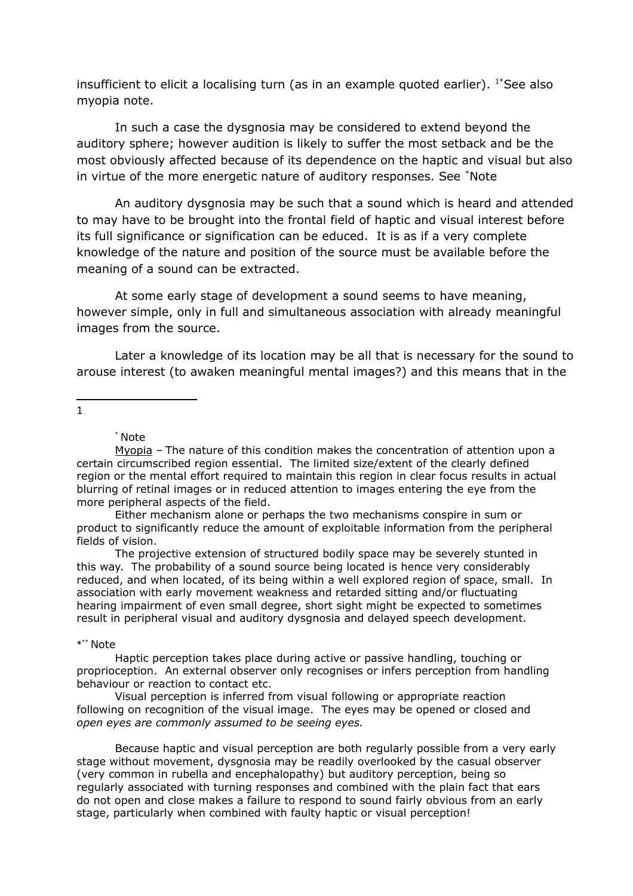insufficient to elicit a localising turn (as in an example quoted earlier).  $1*$ See also myopia note.

In such a case the dysgnosia may be considered to extend beyond the auditory sphere; however audition is likely to suffer the most setback and be the most obviously affected because of its dependence on the haptic and visual but also in virtue of the more energetic nature of auditory responses. See [\\*](#page-22-1)Note

An auditory dysgnosia may be such that a sound which is heard and attended to may have to be brought into the frontal field of haptic and visual interest before its full significance or signification can be educed. It is as if a very complete knowledge of the nature and position of the source must be available before the meaning of a sound can be extracted.

At some early stage of development a sound seems to have meaning, however simple, only in full and simultaneous association with already meaningful images from the source.

Later a knowledge of its location may be all that is necessary for the sound to arouse interest (to awaken meaningful mental images?) and this means that in the

<span id="page-22-0"></span>1

\* Note

Myopia – The nature of this condition makes the concentration of attention upon a certain circumscribed region essential. The limited size/extent of the clearly defined region or the mental effort required to maintain this region in clear focus results in actual blurring of retinal images or in reduced attention to images entering the eye from the more peripheral aspects of the field.

Either mechanism alone or perhaps the two mechanisms conspire in sum or product to significantly reduce the amount of exploitable information from the peripheral fields of vision.

The projective extension of structured bodily space may be severely stunted in this way. The probability of a sound source being located is hence very considerably reduced, and when located, of its being within a well explored region of space, small. In association with early movement weakness and retarded sitting and/or fluctuating hearing impairment of even small degree, short sight might be expected to sometimes result in peripheral visual and auditory dysgnosia and delayed speech development.

<span id="page-22-1"></span>\* \*\* Note

Haptic perception takes place during active or passive handling, touching or proprioception. An external observer only recognises or infers perception from handling behaviour or reaction to contact etc.

Visual perception is inferred from visual following or appropriate reaction following on recognition of the visual image. The eyes may be opened or closed and *open eyes are commonly assumed to be seeing eyes.* 

Because haptic and visual perception are both regularly possible from a very early stage without movement, dysgnosia may be readily overlooked by the casual observer (very common in rubella and encephalopathy) but auditory perception, being so regularly associated with turning responses and combined with the plain fact that ears do not open and close makes a failure to respond to sound fairly obvious from an early stage, particularly when combined with faulty haptic or visual perception!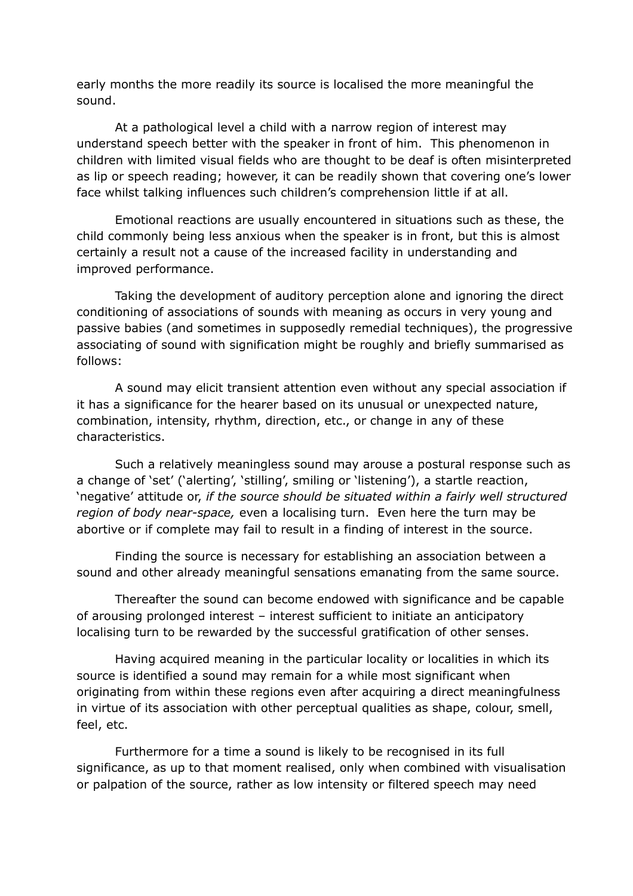early months the more readily its source is localised the more meaningful the sound.

At a pathological level a child with a narrow region of interest may understand speech better with the speaker in front of him. This phenomenon in children with limited visual fields who are thought to be deaf is often misinterpreted as lip or speech reading; however, it can be readily shown that covering one's lower face whilst talking influences such children's comprehension little if at all.

Emotional reactions are usually encountered in situations such as these, the child commonly being less anxious when the speaker is in front, but this is almost certainly a result not a cause of the increased facility in understanding and improved performance.

Taking the development of auditory perception alone and ignoring the direct conditioning of associations of sounds with meaning as occurs in very young and passive babies (and sometimes in supposedly remedial techniques), the progressive associating of sound with signification might be roughly and briefly summarised as follows:

A sound may elicit transient attention even without any special association if it has a significance for the hearer based on its unusual or unexpected nature, combination, intensity, rhythm, direction, etc., or change in any of these characteristics.

Such a relatively meaningless sound may arouse a postural response such as a change of 'set' ('alerting', 'stilling', smiling or 'listening'), a startle reaction, 'negative' attitude or, *if the source should be situated within a fairly well structured region of body near-space,* even a localising turn. Even here the turn may be abortive or if complete may fail to result in a finding of interest in the source.

Finding the source is necessary for establishing an association between a sound and other already meaningful sensations emanating from the same source.

Thereafter the sound can become endowed with significance and be capable of arousing prolonged interest – interest sufficient to initiate an anticipatory localising turn to be rewarded by the successful gratification of other senses.

Having acquired meaning in the particular locality or localities in which its source is identified a sound may remain for a while most significant when originating from within these regions even after acquiring a direct meaningfulness in virtue of its association with other perceptual qualities as shape, colour, smell, feel, etc.

Furthermore for a time a sound is likely to be recognised in its full significance, as up to that moment realised, only when combined with visualisation or palpation of the source, rather as low intensity or filtered speech may need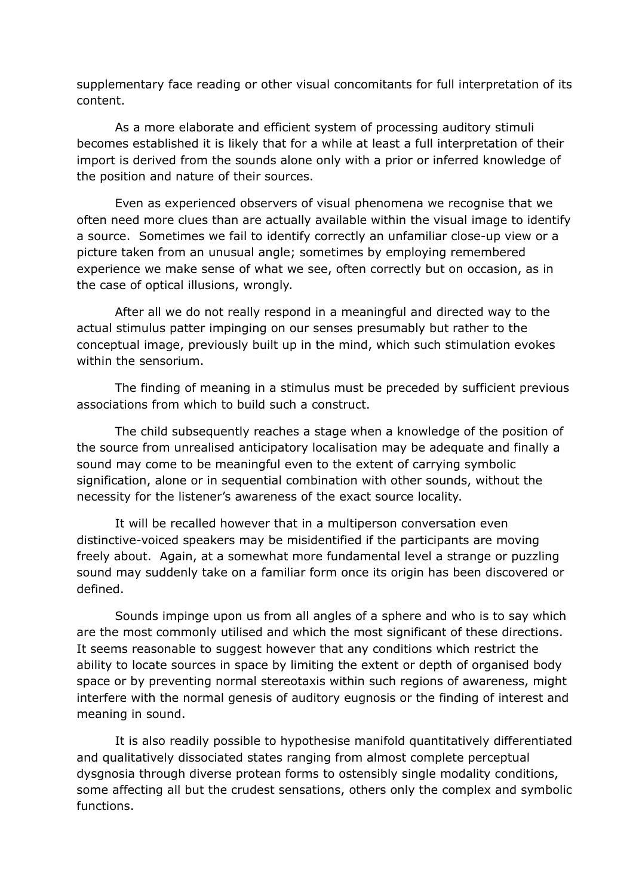supplementary face reading or other visual concomitants for full interpretation of its content.

As a more elaborate and efficient system of processing auditory stimuli becomes established it is likely that for a while at least a full interpretation of their import is derived from the sounds alone only with a prior or inferred knowledge of the position and nature of their sources.

Even as experienced observers of visual phenomena we recognise that we often need more clues than are actually available within the visual image to identify a source. Sometimes we fail to identify correctly an unfamiliar close-up view or a picture taken from an unusual angle; sometimes by employing remembered experience we make sense of what we see, often correctly but on occasion, as in the case of optical illusions, wrongly.

After all we do not really respond in a meaningful and directed way to the actual stimulus patter impinging on our senses presumably but rather to the conceptual image, previously built up in the mind, which such stimulation evokes within the sensorium.

The finding of meaning in a stimulus must be preceded by sufficient previous associations from which to build such a construct.

The child subsequently reaches a stage when a knowledge of the position of the source from unrealised anticipatory localisation may be adequate and finally a sound may come to be meaningful even to the extent of carrying symbolic signification, alone or in sequential combination with other sounds, without the necessity for the listener's awareness of the exact source locality.

It will be recalled however that in a multiperson conversation even distinctive-voiced speakers may be misidentified if the participants are moving freely about. Again, at a somewhat more fundamental level a strange or puzzling sound may suddenly take on a familiar form once its origin has been discovered or defined.

Sounds impinge upon us from all angles of a sphere and who is to say which are the most commonly utilised and which the most significant of these directions. It seems reasonable to suggest however that any conditions which restrict the ability to locate sources in space by limiting the extent or depth of organised body space or by preventing normal stereotaxis within such regions of awareness, might interfere with the normal genesis of auditory eugnosis or the finding of interest and meaning in sound.

It is also readily possible to hypothesise manifold quantitatively differentiated and qualitatively dissociated states ranging from almost complete perceptual dysgnosia through diverse protean forms to ostensibly single modality conditions, some affecting all but the crudest sensations, others only the complex and symbolic functions.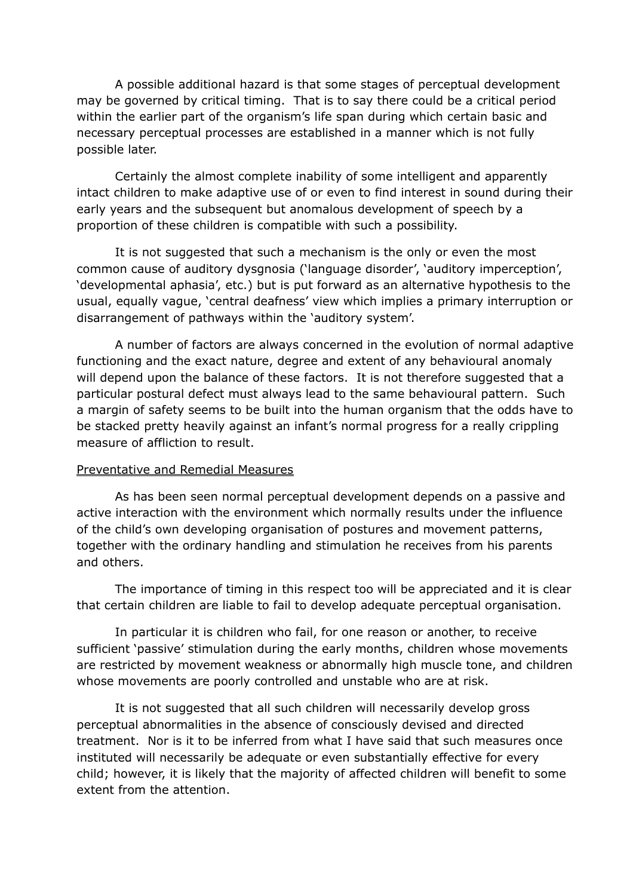A possible additional hazard is that some stages of perceptual development may be governed by critical timing. That is to say there could be a critical period within the earlier part of the organism's life span during which certain basic and necessary perceptual processes are established in a manner which is not fully possible later.

Certainly the almost complete inability of some intelligent and apparently intact children to make adaptive use of or even to find interest in sound during their early years and the subsequent but anomalous development of speech by a proportion of these children is compatible with such a possibility.

It is not suggested that such a mechanism is the only or even the most common cause of auditory dysgnosia ('language disorder', 'auditory imperception', 'developmental aphasia', etc.) but is put forward as an alternative hypothesis to the usual, equally vague, 'central deafness' view which implies a primary interruption or disarrangement of pathways within the 'auditory system'.

A number of factors are always concerned in the evolution of normal adaptive functioning and the exact nature, degree and extent of any behavioural anomaly will depend upon the balance of these factors. It is not therefore suggested that a particular postural defect must always lead to the same behavioural pattern. Such a margin of safety seems to be built into the human organism that the odds have to be stacked pretty heavily against an infant's normal progress for a really crippling measure of affliction to result.

#### Preventative and Remedial Measures

As has been seen normal perceptual development depends on a passive and active interaction with the environment which normally results under the influence of the child's own developing organisation of postures and movement patterns, together with the ordinary handling and stimulation he receives from his parents and others.

The importance of timing in this respect too will be appreciated and it is clear that certain children are liable to fail to develop adequate perceptual organisation.

In particular it is children who fail, for one reason or another, to receive sufficient 'passive' stimulation during the early months, children whose movements are restricted by movement weakness or abnormally high muscle tone, and children whose movements are poorly controlled and unstable who are at risk.

It is not suggested that all such children will necessarily develop gross perceptual abnormalities in the absence of consciously devised and directed treatment. Nor is it to be inferred from what I have said that such measures once instituted will necessarily be adequate or even substantially effective for every child; however, it is likely that the majority of affected children will benefit to some extent from the attention.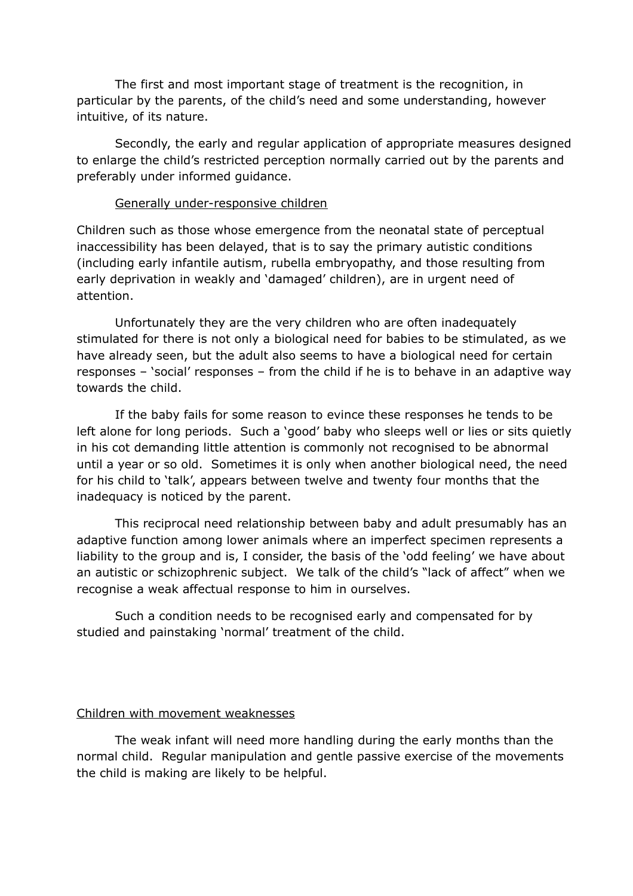The first and most important stage of treatment is the recognition, in particular by the parents, of the child's need and some understanding, however intuitive, of its nature.

Secondly, the early and regular application of appropriate measures designed to enlarge the child's restricted perception normally carried out by the parents and preferably under informed guidance.

#### Generally under-responsive children

Children such as those whose emergence from the neonatal state of perceptual inaccessibility has been delayed, that is to say the primary autistic conditions (including early infantile autism, rubella embryopathy, and those resulting from early deprivation in weakly and 'damaged' children), are in urgent need of attention.

Unfortunately they are the very children who are often inadequately stimulated for there is not only a biological need for babies to be stimulated, as we have already seen, but the adult also seems to have a biological need for certain responses – 'social' responses – from the child if he is to behave in an adaptive way towards the child.

If the baby fails for some reason to evince these responses he tends to be left alone for long periods. Such a 'good' baby who sleeps well or lies or sits quietly in his cot demanding little attention is commonly not recognised to be abnormal until a year or so old. Sometimes it is only when another biological need, the need for his child to 'talk', appears between twelve and twenty four months that the inadequacy is noticed by the parent.

This reciprocal need relationship between baby and adult presumably has an adaptive function among lower animals where an imperfect specimen represents a liability to the group and is, I consider, the basis of the 'odd feeling' we have about an autistic or schizophrenic subject. We talk of the child's "lack of affect" when we recognise a weak affectual response to him in ourselves.

Such a condition needs to be recognised early and compensated for by studied and painstaking 'normal' treatment of the child.

## Children with movement weaknesses

The weak infant will need more handling during the early months than the normal child. Regular manipulation and gentle passive exercise of the movements the child is making are likely to be helpful.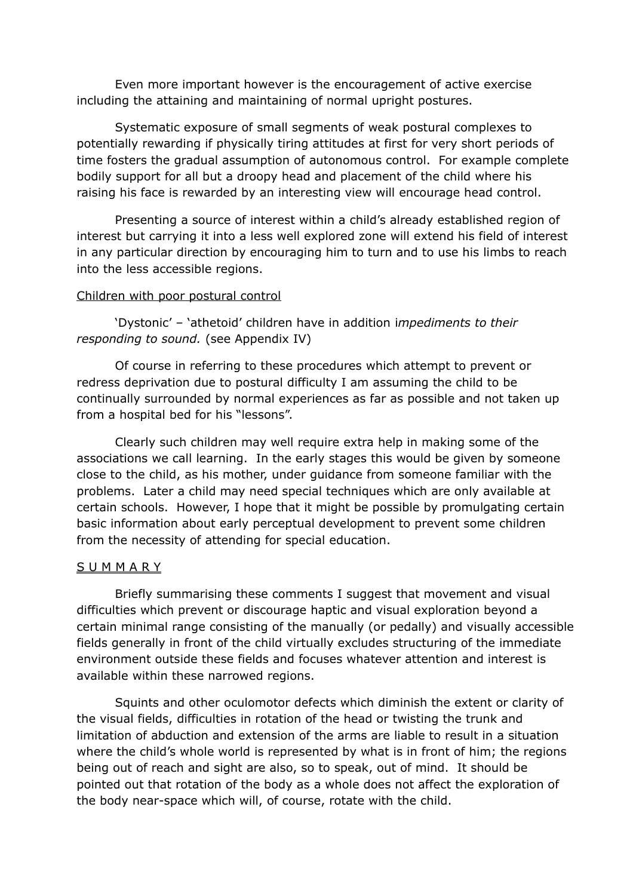Even more important however is the encouragement of active exercise including the attaining and maintaining of normal upright postures.

Systematic exposure of small segments of weak postural complexes to potentially rewarding if physically tiring attitudes at first for very short periods of time fosters the gradual assumption of autonomous control. For example complete bodily support for all but a droopy head and placement of the child where his raising his face is rewarded by an interesting view will encourage head control.

Presenting a source of interest within a child's already established region of interest but carrying it into a less well explored zone will extend his field of interest in any particular direction by encouraging him to turn and to use his limbs to reach into the less accessible regions.

### Children with poor postural control

'Dystonic' – 'athetoid' children have in addition i*mpediments to their responding to sound.* (see Appendix IV)

Of course in referring to these procedures which attempt to prevent or redress deprivation due to postural difficulty I am assuming the child to be continually surrounded by normal experiences as far as possible and not taken up from a hospital bed for his "lessons".

Clearly such children may well require extra help in making some of the associations we call learning. In the early stages this would be given by someone close to the child, as his mother, under guidance from someone familiar with the problems. Later a child may need special techniques which are only available at certain schools. However, I hope that it might be possible by promulgating certain basic information about early perceptual development to prevent some children from the necessity of attending for special education.

#### **SUMMARY**

Briefly summarising these comments I suggest that movement and visual difficulties which prevent or discourage haptic and visual exploration beyond a certain minimal range consisting of the manually (or pedally) and visually accessible fields generally in front of the child virtually excludes structuring of the immediate environment outside these fields and focuses whatever attention and interest is available within these narrowed regions.

Squints and other oculomotor defects which diminish the extent or clarity of the visual fields, difficulties in rotation of the head or twisting the trunk and limitation of abduction and extension of the arms are liable to result in a situation where the child's whole world is represented by what is in front of him; the regions being out of reach and sight are also, so to speak, out of mind. It should be pointed out that rotation of the body as a whole does not affect the exploration of the body near-space which will, of course, rotate with the child.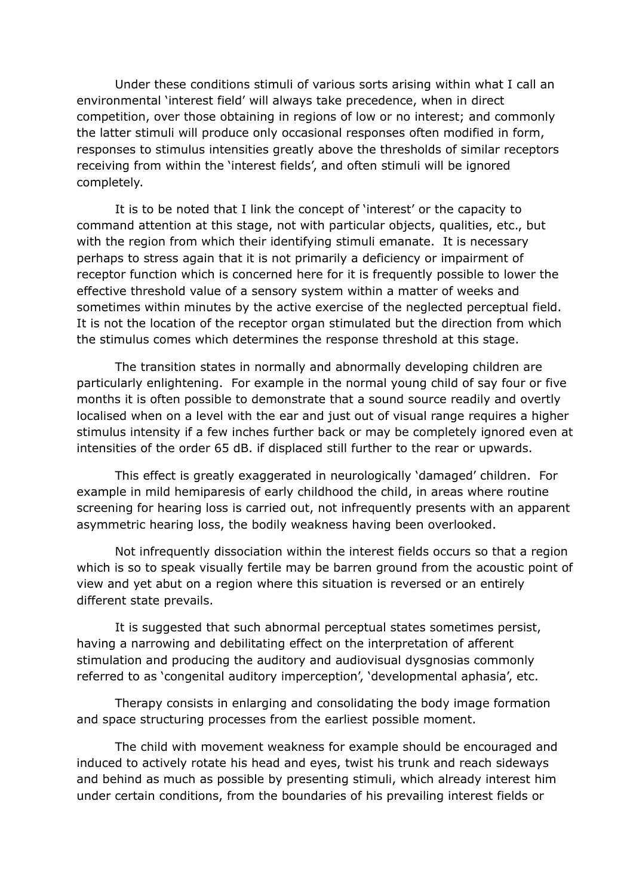Under these conditions stimuli of various sorts arising within what I call an environmental 'interest field' will always take precedence, when in direct competition, over those obtaining in regions of low or no interest; and commonly the latter stimuli will produce only occasional responses often modified in form, responses to stimulus intensities greatly above the thresholds of similar receptors receiving from within the 'interest fields', and often stimuli will be ignored completely.

It is to be noted that I link the concept of 'interest' or the capacity to command attention at this stage, not with particular objects, qualities, etc., but with the region from which their identifying stimuli emanate. It is necessary perhaps to stress again that it is not primarily a deficiency or impairment of receptor function which is concerned here for it is frequently possible to lower the effective threshold value of a sensory system within a matter of weeks and sometimes within minutes by the active exercise of the neglected perceptual field. It is not the location of the receptor organ stimulated but the direction from which the stimulus comes which determines the response threshold at this stage.

The transition states in normally and abnormally developing children are particularly enlightening. For example in the normal young child of say four or five months it is often possible to demonstrate that a sound source readily and overtly localised when on a level with the ear and just out of visual range requires a higher stimulus intensity if a few inches further back or may be completely ignored even at intensities of the order 65 dB. if displaced still further to the rear or upwards.

This effect is greatly exaggerated in neurologically 'damaged' children. For example in mild hemiparesis of early childhood the child, in areas where routine screening for hearing loss is carried out, not infrequently presents with an apparent asymmetric hearing loss, the bodily weakness having been overlooked.

Not infrequently dissociation within the interest fields occurs so that a region which is so to speak visually fertile may be barren ground from the acoustic point of view and yet abut on a region where this situation is reversed or an entirely different state prevails.

It is suggested that such abnormal perceptual states sometimes persist, having a narrowing and debilitating effect on the interpretation of afferent stimulation and producing the auditory and audiovisual dysgnosias commonly referred to as 'congenital auditory imperception', 'developmental aphasia', etc.

Therapy consists in enlarging and consolidating the body image formation and space structuring processes from the earliest possible moment.

The child with movement weakness for example should be encouraged and induced to actively rotate his head and eyes, twist his trunk and reach sideways and behind as much as possible by presenting stimuli, which already interest him under certain conditions, from the boundaries of his prevailing interest fields or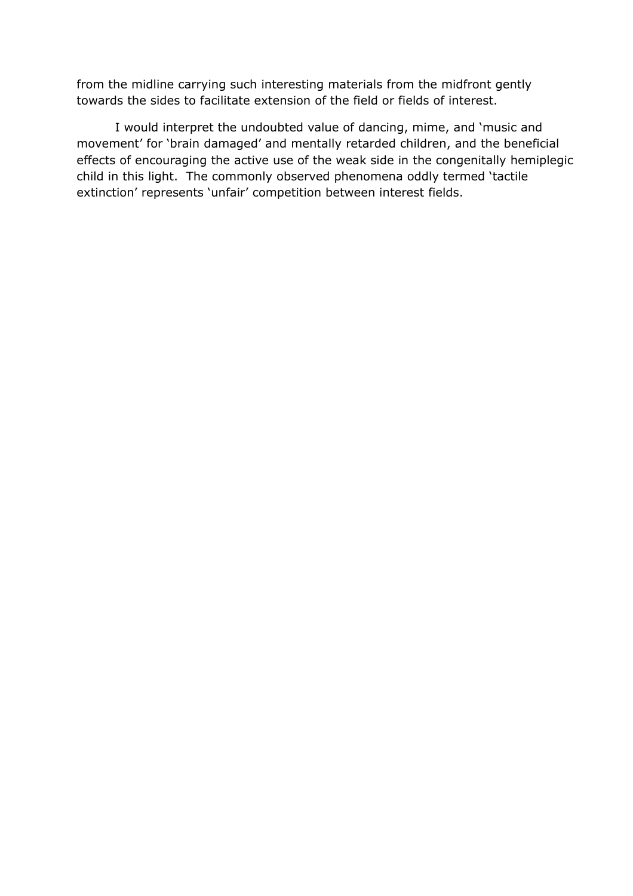from the midline carrying such interesting materials from the midfront gently towards the sides to facilitate extension of the field or fields of interest.

I would interpret the undoubted value of dancing, mime, and 'music and movement' for 'brain damaged' and mentally retarded children, and the beneficial effects of encouraging the active use of the weak side in the congenitally hemiplegic child in this light. The commonly observed phenomena oddly termed 'tactile extinction' represents 'unfair' competition between interest fields.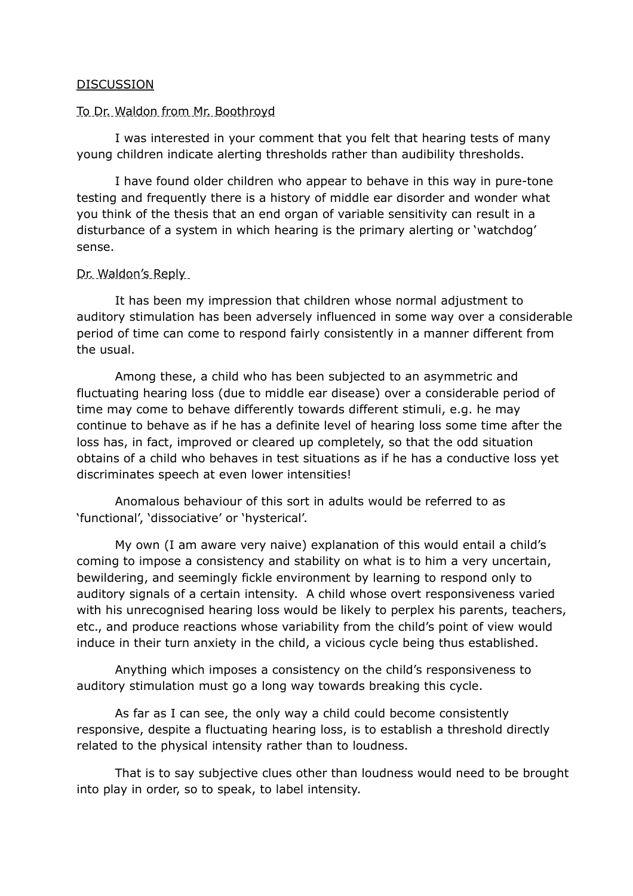### **DISCUSSION**

#### To Dr. Waldon from Mr. Boothroyd

I was interested in your comment that you felt that hearing tests of many young children indicate alerting thresholds rather than audibility thresholds.

I have found older children who appear to behave in this way in pure-tone testing and frequently there is a history of middle ear disorder and wonder what you think of the thesis that an end organ of variable sensitivity can result in a disturbance of a system in which hearing is the primary alerting or 'watchdog' sense.

#### Dr. Waldon's Reply

It has been my impression that children whose normal adjustment to auditory stimulation has been adversely influenced in some way over a considerable period of time can come to respond fairly consistently in a manner different from the usual.

Among these, a child who has been subjected to an asymmetric and fluctuating hearing loss (due to middle ear disease) over a considerable period of time may come to behave differently towards different stimuli, e.g. he may continue to behave as if he has a definite level of hearing loss some time after the loss has, in fact, improved or cleared up completely, so that the odd situation obtains of a child who behaves in test situations as if he has a conductive loss yet discriminates speech at even lower intensities!

Anomalous behaviour of this sort in adults would be referred to as 'functional', 'dissociative' or 'hysterical'.

My own (I am aware very naive) explanation of this would entail a child's coming to impose a consistency and stability on what is to him a very uncertain, bewildering, and seemingly fickle environment by learning to respond only to auditory signals of a certain intensity. A child whose overt responsiveness varied with his unrecognised hearing loss would be likely to perplex his parents, teachers, etc., and produce reactions whose variability from the child's point of view would induce in their turn anxiety in the child, a vicious cycle being thus established.

Anything which imposes a consistency on the child's responsiveness to auditory stimulation must go a long way towards breaking this cycle.

As far as I can see, the only way a child could become consistently responsive, despite a fluctuating hearing loss, is to establish a threshold directly related to the physical intensity rather than to loudness.

That is to say subjective clues other than loudness would need to be brought into play in order, so to speak, to label intensity.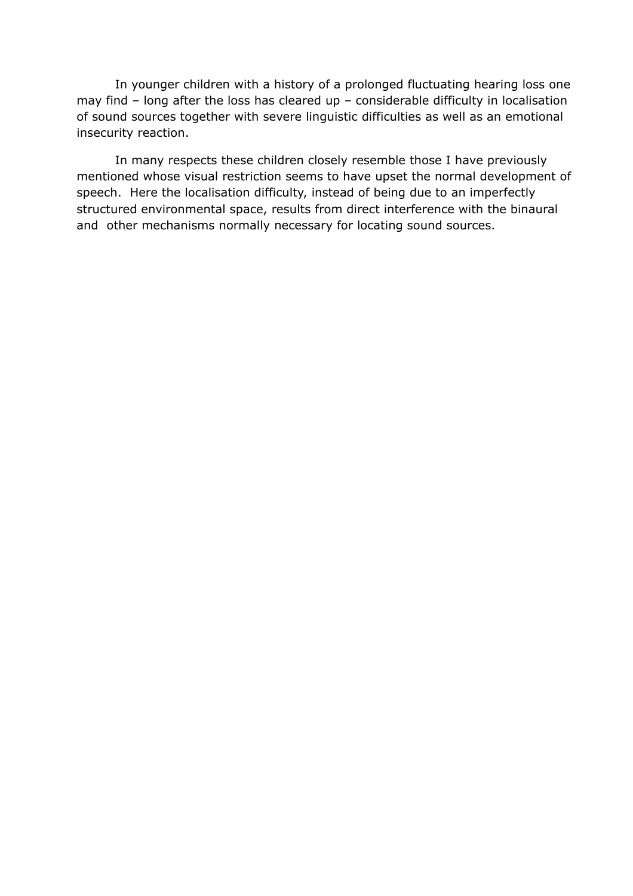In younger children with a history of a prolonged fluctuating hearing loss one may find – long after the loss has cleared up – considerable difficulty in localisation of sound sources together with severe linguistic difficulties as well as an emotional insecurity reaction.

In many respects these children closely resemble those I have previously mentioned whose visual restriction seems to have upset the normal development of speech. Here the localisation difficulty, instead of being due to an imperfectly structured environmental space, results from direct interference with the binaural and other mechanisms normally necessary for locating sound sources.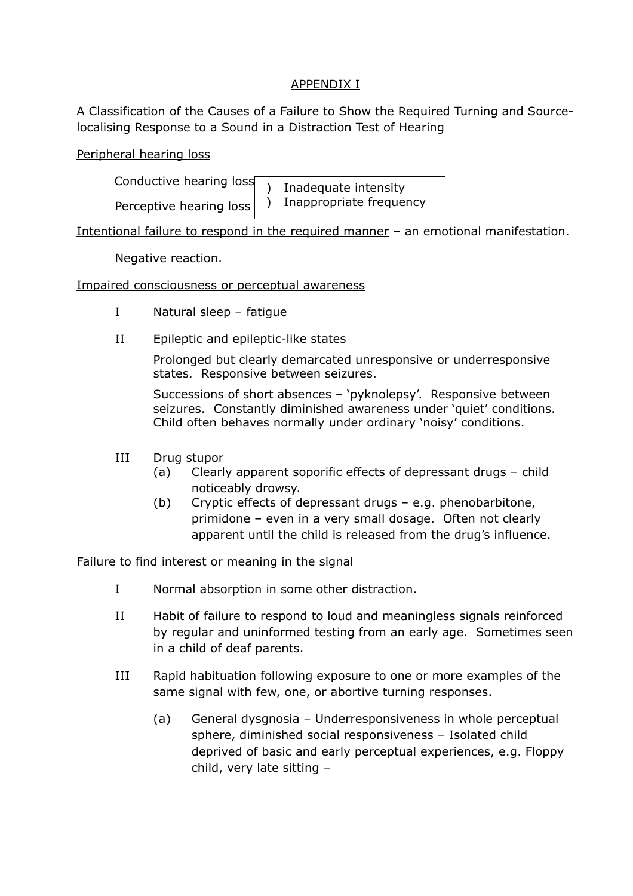# APPENDIX I

# A Classification of the Causes of a Failure to Show the Required Turning and Sourcelocalising Response to a Sound in a Distraction Test of Hearing

Peripheral hearing loss

Conductive hearing loss

Perceptive hearing loss

) Inadequate intensity ) Inappropriate frequency

Intentional failure to respond in the required manner – an emotional manifestation.

Negative reaction.

Impaired consciousness or perceptual awareness

- I Natural sleep fatigue
- II Epileptic and epileptic-like states

Prolonged but clearly demarcated unresponsive or underresponsive states. Responsive between seizures.

Successions of short absences – 'pyknolepsy'. Responsive between seizures. Constantly diminished awareness under 'quiet' conditions. Child often behaves normally under ordinary 'noisy' conditions.

- III Drug stupor
	- (a) Clearly apparent soporific effects of depressant drugs child noticeably drowsy.
	- (b) Cryptic effects of depressant drugs e.g. phenobarbitone, primidone – even in a very small dosage. Often not clearly apparent until the child is released from the drug's influence.

Failure to find interest or meaning in the signal

- I Normal absorption in some other distraction.
- II Habit of failure to respond to loud and meaningless signals reinforced by regular and uninformed testing from an early age. Sometimes seen in a child of deaf parents.
- III Rapid habituation following exposure to one or more examples of the same signal with few, one, or abortive turning responses.
	- (a) General dysgnosia Underresponsiveness in whole perceptual sphere, diminished social responsiveness – Isolated child deprived of basic and early perceptual experiences, e.g. Floppy child, very late sitting –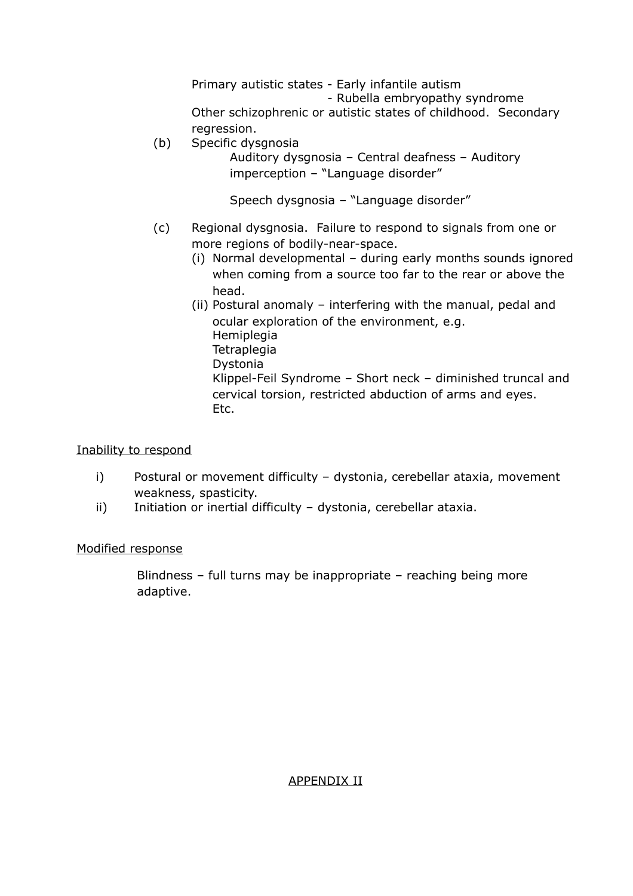Primary autistic states - Early infantile autism - Rubella embryopathy syndrome Other schizophrenic or autistic states of childhood. Secondary regression.

(b) Specific dysgnosia

Auditory dysgnosia – Central deafness – Auditory imperception – "Language disorder"

Speech dysgnosia – "Language disorder"

- (c) Regional dysgnosia. Failure to respond to signals from one or more regions of bodily-near-space.
	- (i) Normal developmental during early months sounds ignored when coming from a source too far to the rear or above the head.
	- (ii) Postural anomaly interfering with the manual, pedal and ocular exploration of the environment, e.g. Hemiplegia **Tetraplegia** Dystonia Klippel-Feil Syndrome – Short neck – diminished truncal and cervical torsion, restricted abduction of arms and eyes. Etc.

#### Inability to respond

- i) Postural or movement difficulty dystonia, cerebellar ataxia, movement weakness, spasticity.
- ii) Initiation or inertial difficulty dystonia, cerebellar ataxia.

## Modified response

Blindness – full turns may be inappropriate – reaching being more adaptive.

## APPENDIX II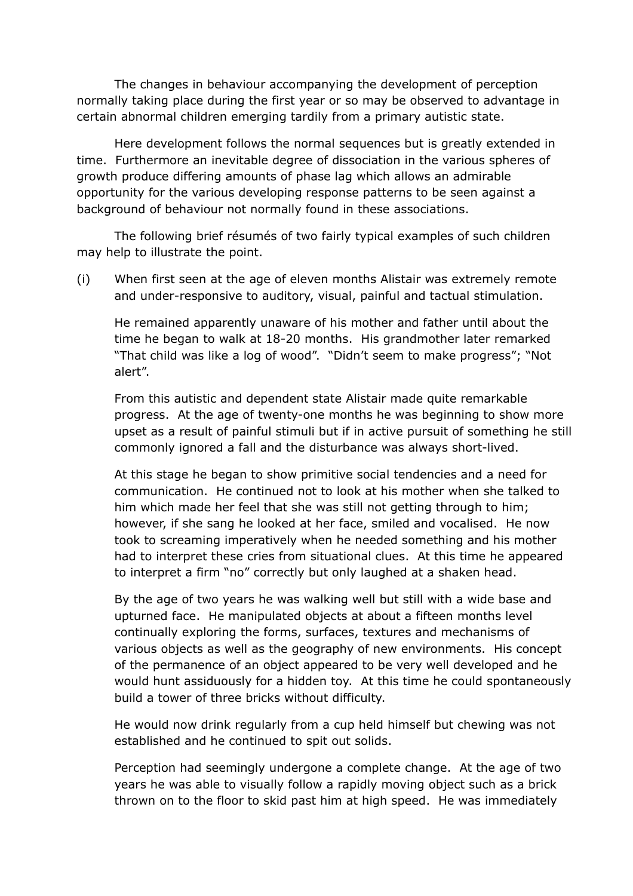The changes in behaviour accompanying the development of perception normally taking place during the first year or so may be observed to advantage in certain abnormal children emerging tardily from a primary autistic state.

Here development follows the normal sequences but is greatly extended in time. Furthermore an inevitable degree of dissociation in the various spheres of growth produce differing amounts of phase lag which allows an admirable opportunity for the various developing response patterns to be seen against a background of behaviour not normally found in these associations.

The following brief résumés of two fairly typical examples of such children may help to illustrate the point.

(i) When first seen at the age of eleven months Alistair was extremely remote and under-responsive to auditory, visual, painful and tactual stimulation.

He remained apparently unaware of his mother and father until about the time he began to walk at 18-20 months. His grandmother later remarked "That child was like a log of wood". "Didn't seem to make progress"; "Not alert".

From this autistic and dependent state Alistair made quite remarkable progress. At the age of twenty-one months he was beginning to show more upset as a result of painful stimuli but if in active pursuit of something he still commonly ignored a fall and the disturbance was always short-lived.

At this stage he began to show primitive social tendencies and a need for communication. He continued not to look at his mother when she talked to him which made her feel that she was still not getting through to him; however, if she sang he looked at her face, smiled and vocalised. He now took to screaming imperatively when he needed something and his mother had to interpret these cries from situational clues. At this time he appeared to interpret a firm "no" correctly but only laughed at a shaken head.

By the age of two years he was walking well but still with a wide base and upturned face. He manipulated objects at about a fifteen months level continually exploring the forms, surfaces, textures and mechanisms of various objects as well as the geography of new environments. His concept of the permanence of an object appeared to be very well developed and he would hunt assiduously for a hidden toy. At this time he could spontaneously build a tower of three bricks without difficulty.

He would now drink regularly from a cup held himself but chewing was not established and he continued to spit out solids.

Perception had seemingly undergone a complete change. At the age of two years he was able to visually follow a rapidly moving object such as a brick thrown on to the floor to skid past him at high speed. He was immediately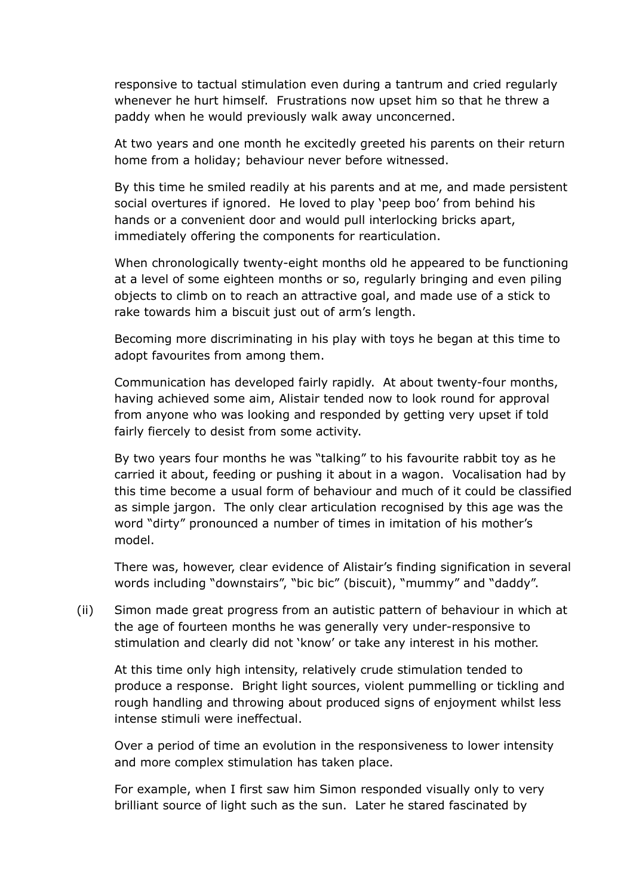responsive to tactual stimulation even during a tantrum and cried regularly whenever he hurt himself. Frustrations now upset him so that he threw a paddy when he would previously walk away unconcerned.

At two years and one month he excitedly greeted his parents on their return home from a holiday; behaviour never before witnessed.

By this time he smiled readily at his parents and at me, and made persistent social overtures if ignored. He loved to play 'peep boo' from behind his hands or a convenient door and would pull interlocking bricks apart, immediately offering the components for rearticulation.

When chronologically twenty-eight months old he appeared to be functioning at a level of some eighteen months or so, regularly bringing and even piling objects to climb on to reach an attractive goal, and made use of a stick to rake towards him a biscuit just out of arm's length.

Becoming more discriminating in his play with toys he began at this time to adopt favourites from among them.

Communication has developed fairly rapidly. At about twenty-four months, having achieved some aim, Alistair tended now to look round for approval from anyone who was looking and responded by getting very upset if told fairly fiercely to desist from some activity.

By two years four months he was "talking" to his favourite rabbit toy as he carried it about, feeding or pushing it about in a wagon. Vocalisation had by this time become a usual form of behaviour and much of it could be classified as simple jargon. The only clear articulation recognised by this age was the word "dirty" pronounced a number of times in imitation of his mother's model.

There was, however, clear evidence of Alistair's finding signification in several words including "downstairs", "bic bic" (biscuit), "mummy" and "daddy".

(ii) Simon made great progress from an autistic pattern of behaviour in which at the age of fourteen months he was generally very under-responsive to stimulation and clearly did not 'know' or take any interest in his mother.

At this time only high intensity, relatively crude stimulation tended to produce a response. Bright light sources, violent pummelling or tickling and rough handling and throwing about produced signs of enjoyment whilst less intense stimuli were ineffectual.

Over a period of time an evolution in the responsiveness to lower intensity and more complex stimulation has taken place.

For example, when I first saw him Simon responded visually only to very brilliant source of light such as the sun. Later he stared fascinated by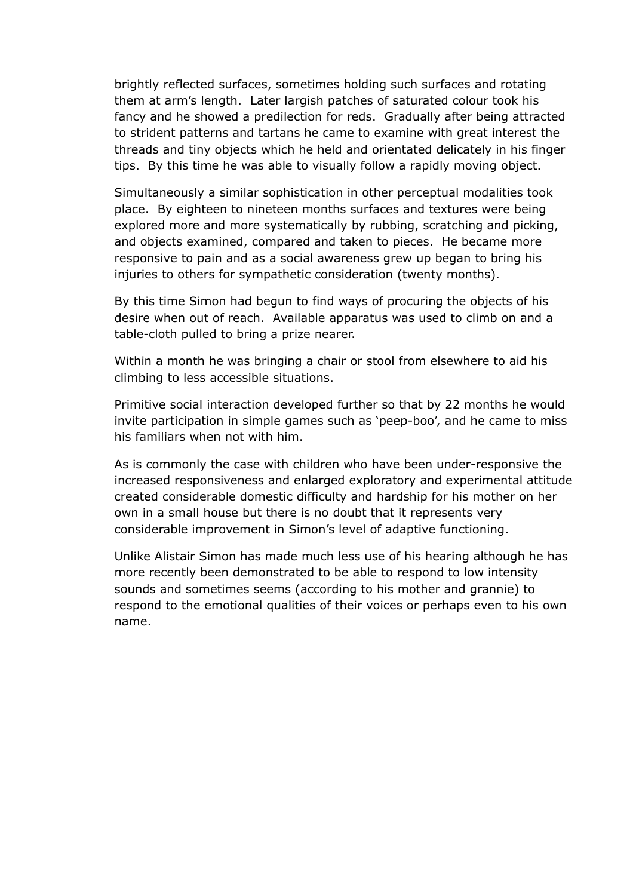brightly reflected surfaces, sometimes holding such surfaces and rotating them at arm's length. Later largish patches of saturated colour took his fancy and he showed a predilection for reds. Gradually after being attracted to strident patterns and tartans he came to examine with great interest the threads and tiny objects which he held and orientated delicately in his finger tips. By this time he was able to visually follow a rapidly moving object.

Simultaneously a similar sophistication in other perceptual modalities took place. By eighteen to nineteen months surfaces and textures were being explored more and more systematically by rubbing, scratching and picking, and objects examined, compared and taken to pieces. He became more responsive to pain and as a social awareness grew up began to bring his injuries to others for sympathetic consideration (twenty months).

By this time Simon had begun to find ways of procuring the objects of his desire when out of reach. Available apparatus was used to climb on and a table-cloth pulled to bring a prize nearer.

Within a month he was bringing a chair or stool from elsewhere to aid his climbing to less accessible situations.

Primitive social interaction developed further so that by 22 months he would invite participation in simple games such as 'peep-boo', and he came to miss his familiars when not with him.

As is commonly the case with children who have been under-responsive the increased responsiveness and enlarged exploratory and experimental attitude created considerable domestic difficulty and hardship for his mother on her own in a small house but there is no doubt that it represents very considerable improvement in Simon's level of adaptive functioning.

Unlike Alistair Simon has made much less use of his hearing although he has more recently been demonstrated to be able to respond to low intensity sounds and sometimes seems (according to his mother and grannie) to respond to the emotional qualities of their voices or perhaps even to his own name.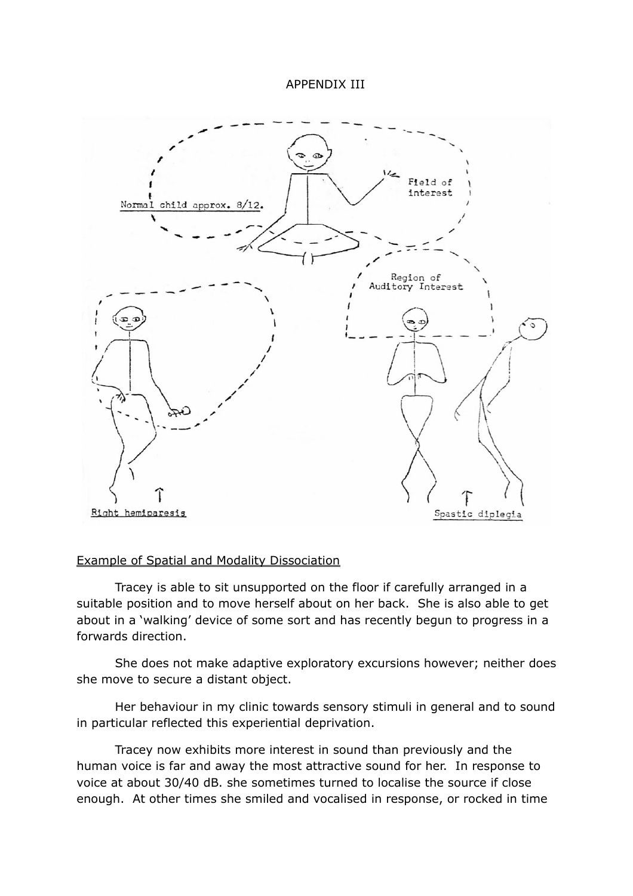#### APPENDIX III



#### Example of Spatial and Modality Dissociation

Tracey is able to sit unsupported on the floor if carefully arranged in a suitable position and to move herself about on her back. She is also able to get about in a 'walking' device of some sort and has recently begun to progress in a forwards direction.

She does not make adaptive exploratory excursions however; neither does she move to secure a distant object.

Her behaviour in my clinic towards sensory stimuli in general and to sound in particular reflected this experiential deprivation.

Tracey now exhibits more interest in sound than previously and the human voice is far and away the most attractive sound for her. In response to voice at about 30/40 dB. she sometimes turned to localise the source if close enough. At other times she smiled and vocalised in response, or rocked in time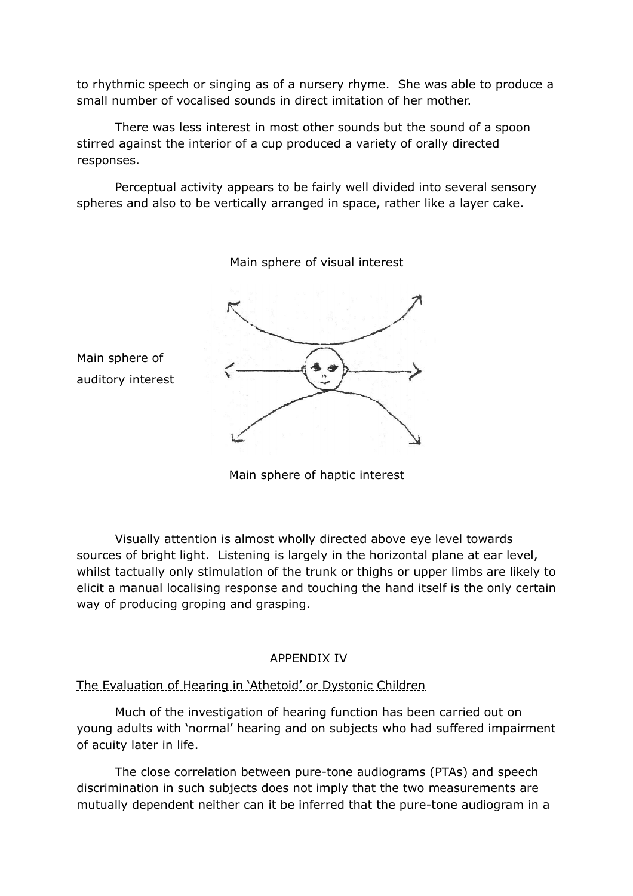to rhythmic speech or singing as of a nursery rhyme. She was able to produce a small number of vocalised sounds in direct imitation of her mother.

There was less interest in most other sounds but the sound of a spoon stirred against the interior of a cup produced a variety of orally directed responses.

Perceptual activity appears to be fairly well divided into several sensory spheres and also to be vertically arranged in space, rather like a layer cake.

Main sphere of visual interest



Main sphere of auditory interest

Main sphere of haptic interest

Visually attention is almost wholly directed above eye level towards sources of bright light. Listening is largely in the horizontal plane at ear level, whilst tactually only stimulation of the trunk or thighs or upper limbs are likely to elicit a manual localising response and touching the hand itself is the only certain way of producing groping and grasping.

# APPENDIX IV

The Evaluation of Hearing in 'Athetoid' or Dystonic Children

Much of the investigation of hearing function has been carried out on young adults with 'normal' hearing and on subjects who had suffered impairment of acuity later in life.

The close correlation between pure-tone audiograms (PTAs) and speech discrimination in such subjects does not imply that the two measurements are mutually dependent neither can it be inferred that the pure-tone audiogram in a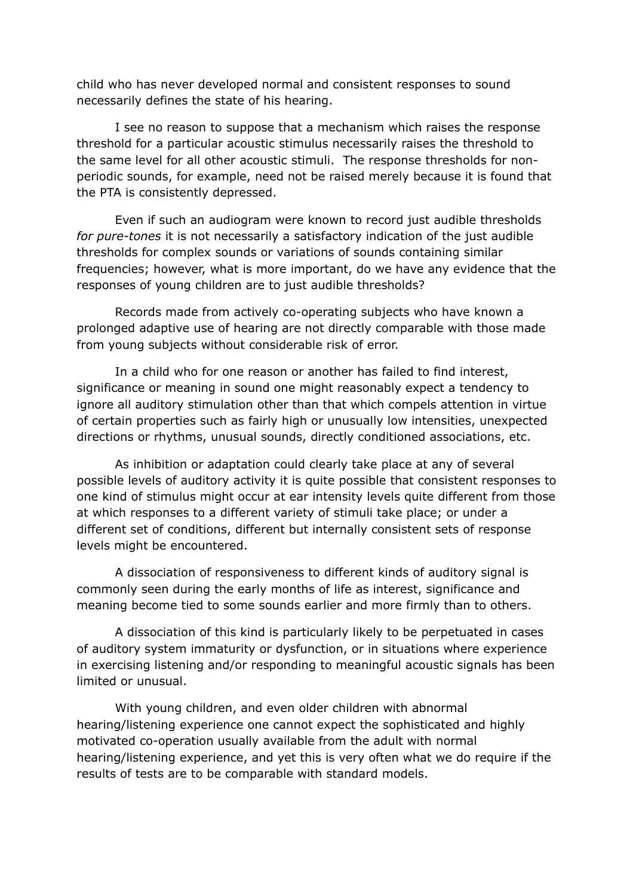child who has never developed normal and consistent responses to sound necessarily defines the state of his hearing.

I see no reason to suppose that a mechanism which raises the response threshold for a particular acoustic stimulus necessarily raises the threshold to the same level for all other acoustic stimuli. The response thresholds for nonperiodic sounds, for example, need not be raised merely because it is found that the PTA is consistently depressed.

Even if such an audiogram were known to record just audible thresholds *for pure-tones* it is not necessarily a satisfactory indication of the just audible thresholds for complex sounds or variations of sounds containing similar frequencies; however, what is more important, do we have any evidence that the responses of young children are to just audible thresholds?

Records made from actively co-operating subjects who have known a prolonged adaptive use of hearing are not directly comparable with those made from young subjects without considerable risk of error.

In a child who for one reason or another has failed to find interest, significance or meaning in sound one might reasonably expect a tendency to ignore all auditory stimulation other than that which compels attention in virtue of certain properties such as fairly high or unusually low intensities, unexpected directions or rhythms, unusual sounds, directly conditioned associations, etc.

As inhibition or adaptation could clearly take place at any of several possible levels of auditory activity it is quite possible that consistent responses to one kind of stimulus might occur at ear intensity levels quite different from those at which responses to a different variety of stimuli take place; or under a different set of conditions, different but internally consistent sets of response levels might be encountered.

A dissociation of responsiveness to different kinds of auditory signal is commonly seen during the early months of life as interest, significance and meaning become tied to some sounds earlier and more firmly than to others.

A dissociation of this kind is particularly likely to be perpetuated in cases of auditory system immaturity or dysfunction, or in situations where experience in exercising listening and/or responding to meaningful acoustic signals has been limited or unusual.

With young children, and even older children with abnormal hearing/listening experience one cannot expect the sophisticated and highly motivated co-operation usually available from the adult with normal hearing/listening experience, and yet this is very often what we do require if the results of tests are to be comparable with standard models.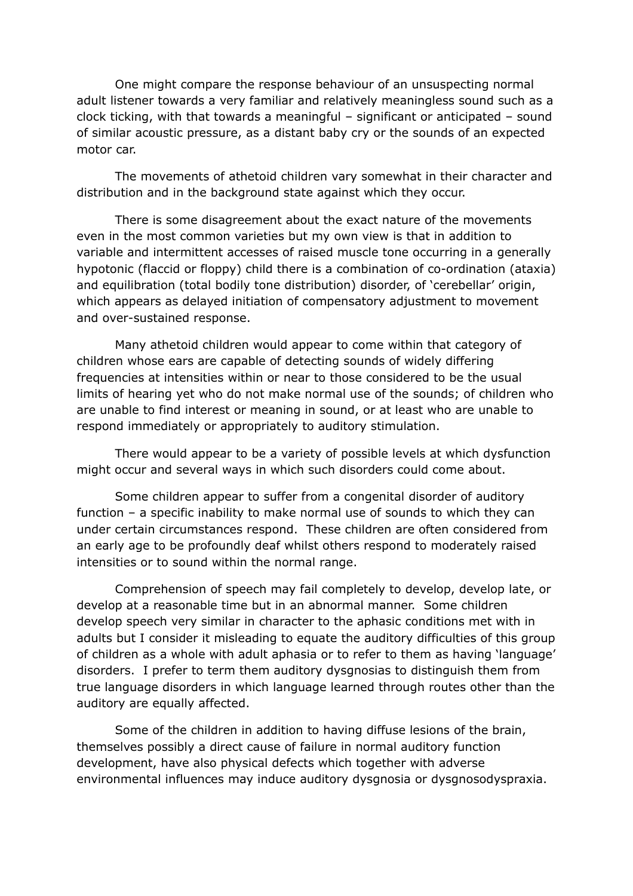One might compare the response behaviour of an unsuspecting normal adult listener towards a very familiar and relatively meaningless sound such as a clock ticking, with that towards a meaningful – significant or anticipated – sound of similar acoustic pressure, as a distant baby cry or the sounds of an expected motor car.

The movements of athetoid children vary somewhat in their character and distribution and in the background state against which they occur.

There is some disagreement about the exact nature of the movements even in the most common varieties but my own view is that in addition to variable and intermittent accesses of raised muscle tone occurring in a generally hypotonic (flaccid or floppy) child there is a combination of co-ordination (ataxia) and equilibration (total bodily tone distribution) disorder, of 'cerebellar' origin, which appears as delayed initiation of compensatory adjustment to movement and over-sustained response.

Many athetoid children would appear to come within that category of children whose ears are capable of detecting sounds of widely differing frequencies at intensities within or near to those considered to be the usual limits of hearing yet who do not make normal use of the sounds; of children who are unable to find interest or meaning in sound, or at least who are unable to respond immediately or appropriately to auditory stimulation.

There would appear to be a variety of possible levels at which dysfunction might occur and several ways in which such disorders could come about.

Some children appear to suffer from a congenital disorder of auditory function – a specific inability to make normal use of sounds to which they can under certain circumstances respond. These children are often considered from an early age to be profoundly deaf whilst others respond to moderately raised intensities or to sound within the normal range.

Comprehension of speech may fail completely to develop, develop late, or develop at a reasonable time but in an abnormal manner. Some children develop speech very similar in character to the aphasic conditions met with in adults but I consider it misleading to equate the auditory difficulties of this group of children as a whole with adult aphasia or to refer to them as having 'language' disorders. I prefer to term them auditory dysgnosias to distinguish them from true language disorders in which language learned through routes other than the auditory are equally affected.

Some of the children in addition to having diffuse lesions of the brain, themselves possibly a direct cause of failure in normal auditory function development, have also physical defects which together with adverse environmental influences may induce auditory dysgnosia or dysgnosodyspraxia.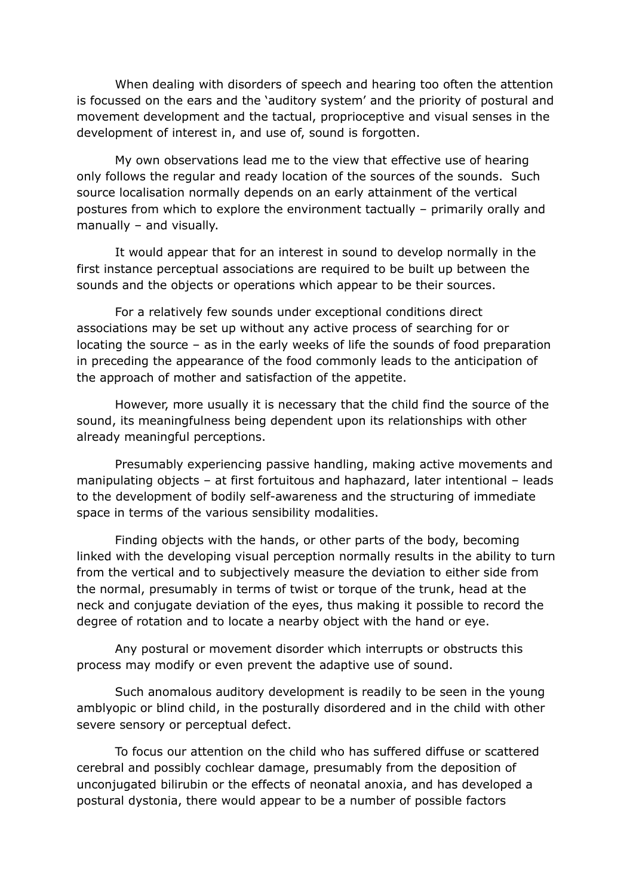When dealing with disorders of speech and hearing too often the attention is focussed on the ears and the 'auditory system' and the priority of postural and movement development and the tactual, proprioceptive and visual senses in the development of interest in, and use of, sound is forgotten.

My own observations lead me to the view that effective use of hearing only follows the regular and ready location of the sources of the sounds. Such source localisation normally depends on an early attainment of the vertical postures from which to explore the environment tactually – primarily orally and manually – and visually.

It would appear that for an interest in sound to develop normally in the first instance perceptual associations are required to be built up between the sounds and the objects or operations which appear to be their sources.

For a relatively few sounds under exceptional conditions direct associations may be set up without any active process of searching for or locating the source – as in the early weeks of life the sounds of food preparation in preceding the appearance of the food commonly leads to the anticipation of the approach of mother and satisfaction of the appetite.

However, more usually it is necessary that the child find the source of the sound, its meaningfulness being dependent upon its relationships with other already meaningful perceptions.

Presumably experiencing passive handling, making active movements and manipulating objects – at first fortuitous and haphazard, later intentional – leads to the development of bodily self-awareness and the structuring of immediate space in terms of the various sensibility modalities.

Finding objects with the hands, or other parts of the body, becoming linked with the developing visual perception normally results in the ability to turn from the vertical and to subjectively measure the deviation to either side from the normal, presumably in terms of twist or torque of the trunk, head at the neck and conjugate deviation of the eyes, thus making it possible to record the degree of rotation and to locate a nearby object with the hand or eye.

Any postural or movement disorder which interrupts or obstructs this process may modify or even prevent the adaptive use of sound.

Such anomalous auditory development is readily to be seen in the young amblyopic or blind child, in the posturally disordered and in the child with other severe sensory or perceptual defect.

To focus our attention on the child who has suffered diffuse or scattered cerebral and possibly cochlear damage, presumably from the deposition of unconjugated bilirubin or the effects of neonatal anoxia, and has developed a postural dystonia, there would appear to be a number of possible factors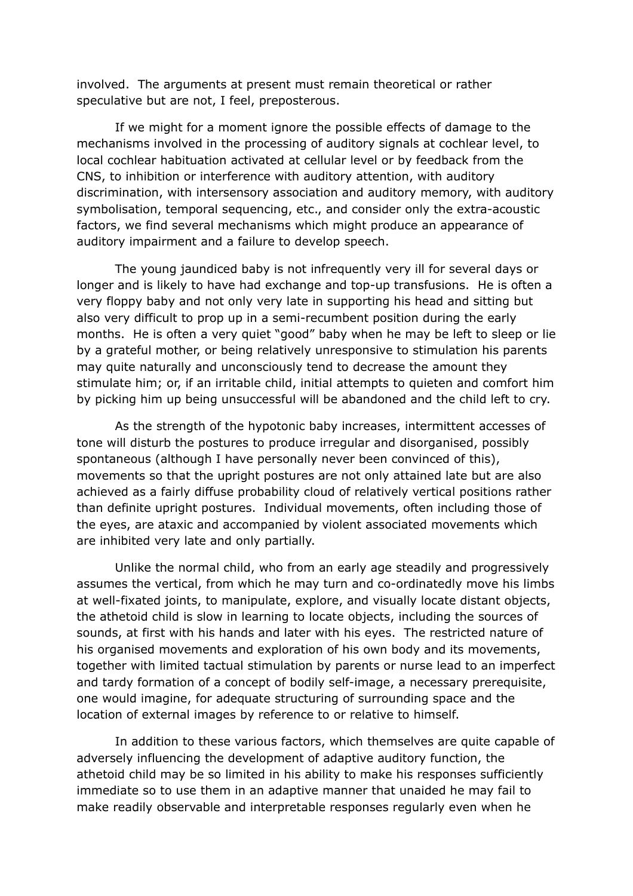involved. The arguments at present must remain theoretical or rather speculative but are not, I feel, preposterous.

If we might for a moment ignore the possible effects of damage to the mechanisms involved in the processing of auditory signals at cochlear level, to local cochlear habituation activated at cellular level or by feedback from the CNS, to inhibition or interference with auditory attention, with auditory discrimination, with intersensory association and auditory memory, with auditory symbolisation, temporal sequencing, etc., and consider only the extra-acoustic factors, we find several mechanisms which might produce an appearance of auditory impairment and a failure to develop speech.

The young jaundiced baby is not infrequently very ill for several days or longer and is likely to have had exchange and top-up transfusions. He is often a very floppy baby and not only very late in supporting his head and sitting but also very difficult to prop up in a semi-recumbent position during the early months. He is often a very quiet "good" baby when he may be left to sleep or lie by a grateful mother, or being relatively unresponsive to stimulation his parents may quite naturally and unconsciously tend to decrease the amount they stimulate him; or, if an irritable child, initial attempts to quieten and comfort him by picking him up being unsuccessful will be abandoned and the child left to cry.

As the strength of the hypotonic baby increases, intermittent accesses of tone will disturb the postures to produce irregular and disorganised, possibly spontaneous (although I have personally never been convinced of this), movements so that the upright postures are not only attained late but are also achieved as a fairly diffuse probability cloud of relatively vertical positions rather than definite upright postures. Individual movements, often including those of the eyes, are ataxic and accompanied by violent associated movements which are inhibited very late and only partially.

Unlike the normal child, who from an early age steadily and progressively assumes the vertical, from which he may turn and co-ordinatedly move his limbs at well-fixated joints, to manipulate, explore, and visually locate distant objects, the athetoid child is slow in learning to locate objects, including the sources of sounds, at first with his hands and later with his eyes. The restricted nature of his organised movements and exploration of his own body and its movements, together with limited tactual stimulation by parents or nurse lead to an imperfect and tardy formation of a concept of bodily self-image, a necessary prerequisite, one would imagine, for adequate structuring of surrounding space and the location of external images by reference to or relative to himself.

In addition to these various factors, which themselves are quite capable of adversely influencing the development of adaptive auditory function, the athetoid child may be so limited in his ability to make his responses sufficiently immediate so to use them in an adaptive manner that unaided he may fail to make readily observable and interpretable responses regularly even when he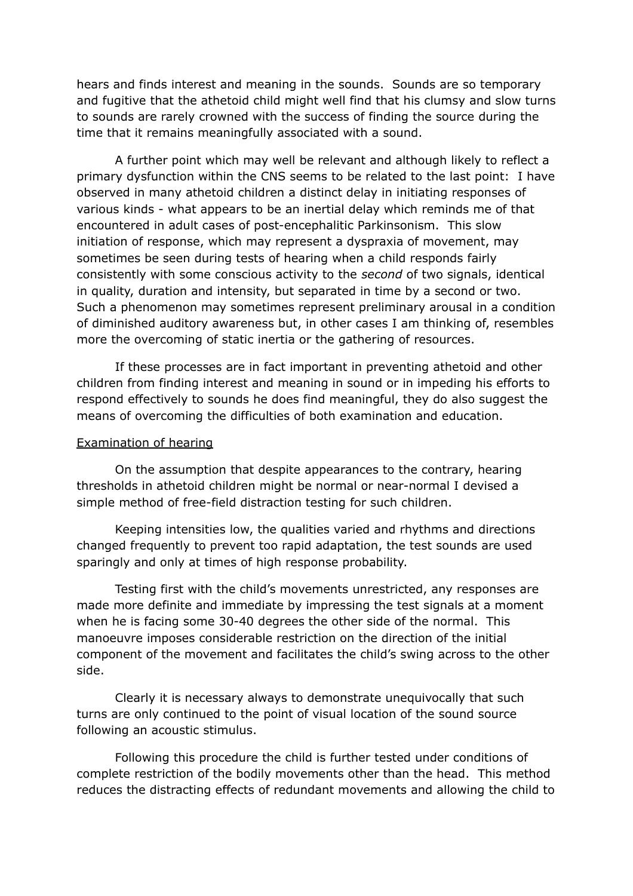hears and finds interest and meaning in the sounds. Sounds are so temporary and fugitive that the athetoid child might well find that his clumsy and slow turns to sounds are rarely crowned with the success of finding the source during the time that it remains meaningfully associated with a sound.

A further point which may well be relevant and although likely to reflect a primary dysfunction within the CNS seems to be related to the last point: I have observed in many athetoid children a distinct delay in initiating responses of various kinds - what appears to be an inertial delay which reminds me of that encountered in adult cases of post-encephalitic Parkinsonism. This slow initiation of response, which may represent a dyspraxia of movement, may sometimes be seen during tests of hearing when a child responds fairly consistently with some conscious activity to the *second* of two signals, identical in quality, duration and intensity, but separated in time by a second or two. Such a phenomenon may sometimes represent preliminary arousal in a condition of diminished auditory awareness but, in other cases I am thinking of, resembles more the overcoming of static inertia or the gathering of resources.

If these processes are in fact important in preventing athetoid and other children from finding interest and meaning in sound or in impeding his efforts to respond effectively to sounds he does find meaningful, they do also suggest the means of overcoming the difficulties of both examination and education.

#### Examination of hearing

On the assumption that despite appearances to the contrary, hearing thresholds in athetoid children might be normal or near-normal I devised a simple method of free-field distraction testing for such children.

Keeping intensities low, the qualities varied and rhythms and directions changed frequently to prevent too rapid adaptation, the test sounds are used sparingly and only at times of high response probability.

Testing first with the child's movements unrestricted, any responses are made more definite and immediate by impressing the test signals at a moment when he is facing some 30-40 degrees the other side of the normal. This manoeuvre imposes considerable restriction on the direction of the initial component of the movement and facilitates the child's swing across to the other side.

Clearly it is necessary always to demonstrate unequivocally that such turns are only continued to the point of visual location of the sound source following an acoustic stimulus.

Following this procedure the child is further tested under conditions of complete restriction of the bodily movements other than the head. This method reduces the distracting effects of redundant movements and allowing the child to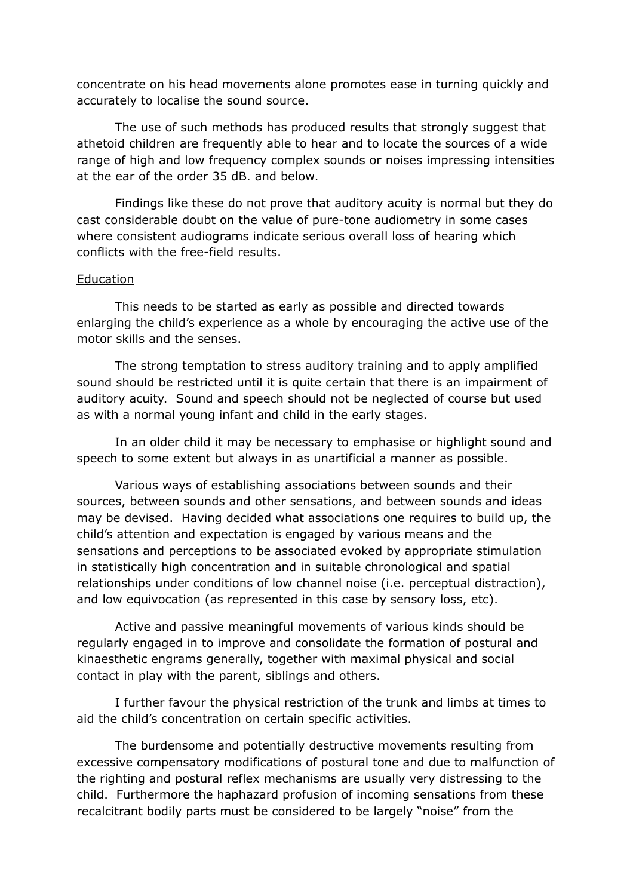concentrate on his head movements alone promotes ease in turning quickly and accurately to localise the sound source.

The use of such methods has produced results that strongly suggest that athetoid children are frequently able to hear and to locate the sources of a wide range of high and low frequency complex sounds or noises impressing intensities at the ear of the order 35 dB. and below.

Findings like these do not prove that auditory acuity is normal but they do cast considerable doubt on the value of pure-tone audiometry in some cases where consistent audiograms indicate serious overall loss of hearing which conflicts with the free-field results.

#### Education

This needs to be started as early as possible and directed towards enlarging the child's experience as a whole by encouraging the active use of the motor skills and the senses.

The strong temptation to stress auditory training and to apply amplified sound should be restricted until it is quite certain that there is an impairment of auditory acuity. Sound and speech should not be neglected of course but used as with a normal young infant and child in the early stages.

In an older child it may be necessary to emphasise or highlight sound and speech to some extent but always in as unartificial a manner as possible.

Various ways of establishing associations between sounds and their sources, between sounds and other sensations, and between sounds and ideas may be devised. Having decided what associations one requires to build up, the child's attention and expectation is engaged by various means and the sensations and perceptions to be associated evoked by appropriate stimulation in statistically high concentration and in suitable chronological and spatial relationships under conditions of low channel noise (i.e. perceptual distraction), and low equivocation (as represented in this case by sensory loss, etc).

Active and passive meaningful movements of various kinds should be regularly engaged in to improve and consolidate the formation of postural and kinaesthetic engrams generally, together with maximal physical and social contact in play with the parent, siblings and others.

I further favour the physical restriction of the trunk and limbs at times to aid the child's concentration on certain specific activities.

The burdensome and potentially destructive movements resulting from excessive compensatory modifications of postural tone and due to malfunction of the righting and postural reflex mechanisms are usually very distressing to the child. Furthermore the haphazard profusion of incoming sensations from these recalcitrant bodily parts must be considered to be largely "noise" from the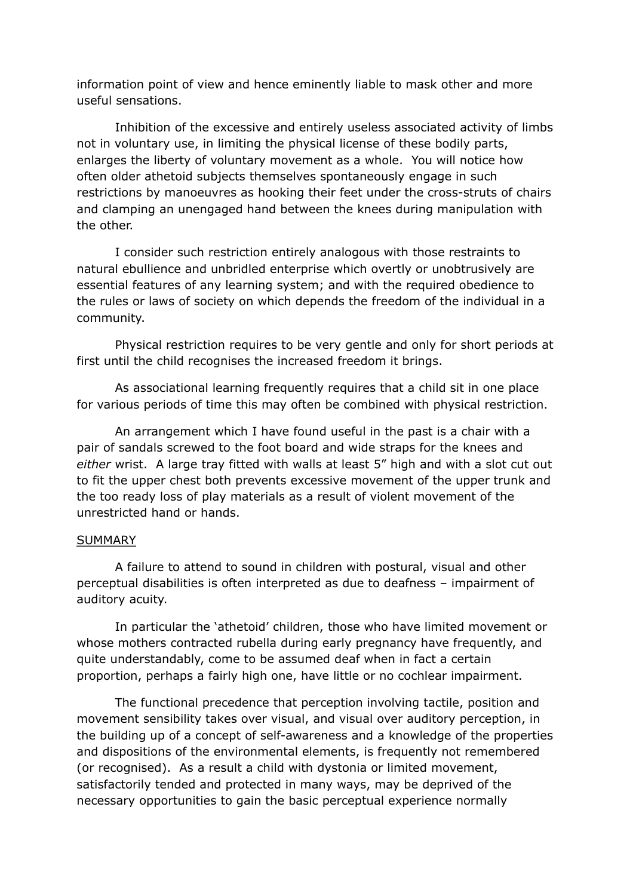information point of view and hence eminently liable to mask other and more useful sensations.

Inhibition of the excessive and entirely useless associated activity of limbs not in voluntary use, in limiting the physical license of these bodily parts, enlarges the liberty of voluntary movement as a whole. You will notice how often older athetoid subjects themselves spontaneously engage in such restrictions by manoeuvres as hooking their feet under the cross-struts of chairs and clamping an unengaged hand between the knees during manipulation with the other.

I consider such restriction entirely analogous with those restraints to natural ebullience and unbridled enterprise which overtly or unobtrusively are essential features of any learning system; and with the required obedience to the rules or laws of society on which depends the freedom of the individual in a community.

Physical restriction requires to be very gentle and only for short periods at first until the child recognises the increased freedom it brings.

As associational learning frequently requires that a child sit in one place for various periods of time this may often be combined with physical restriction.

An arrangement which I have found useful in the past is a chair with a pair of sandals screwed to the foot board and wide straps for the knees and *either* wrist. A large tray fitted with walls at least 5" high and with a slot cut out to fit the upper chest both prevents excessive movement of the upper trunk and the too ready loss of play materials as a result of violent movement of the unrestricted hand or hands.

#### **SUMMARY**

A failure to attend to sound in children with postural, visual and other perceptual disabilities is often interpreted as due to deafness – impairment of auditory acuity.

In particular the 'athetoid' children, those who have limited movement or whose mothers contracted rubella during early pregnancy have frequently, and quite understandably, come to be assumed deaf when in fact a certain proportion, perhaps a fairly high one, have little or no cochlear impairment.

The functional precedence that perception involving tactile, position and movement sensibility takes over visual, and visual over auditory perception, in the building up of a concept of self-awareness and a knowledge of the properties and dispositions of the environmental elements, is frequently not remembered (or recognised). As a result a child with dystonia or limited movement, satisfactorily tended and protected in many ways, may be deprived of the necessary opportunities to gain the basic perceptual experience normally